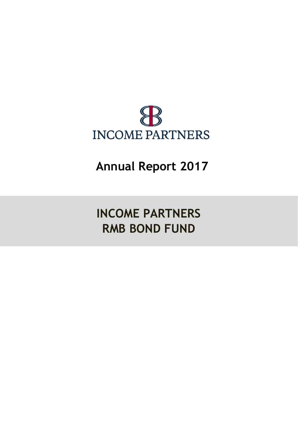

**Annual Report 2017**

**INCOME PARTNERS RMB BOND FUND**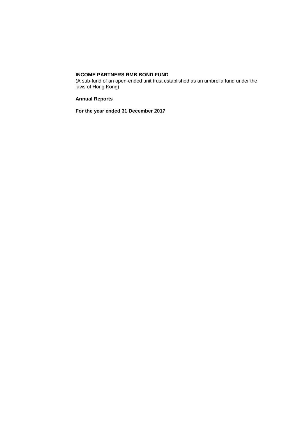(A sub-fund of an open-ended unit trust established as an umbrella fund under the laws of Hong Kong)

**Annual Reports**

**For the year ended 31 December 2017**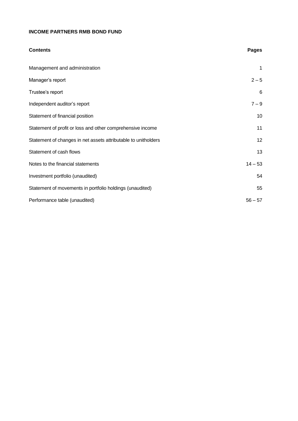| <b>Contents</b>                                                | <b>Pages</b> |
|----------------------------------------------------------------|--------------|
| Management and administration                                  | 1            |
| Manager's report                                               | $2 - 5$      |
| Trustee's report                                               | 6            |
| Independent auditor's report                                   | $7 - 9$      |
| Statement of financial position                                | 10           |
| Statement of profit or loss and other comprehensive income     | 11           |
| Statement of changes in net assets attributable to unitholders | 12           |
| Statement of cash flows                                        | 13           |
| Notes to the financial statements                              | $14 - 53$    |
| Investment portfolio (unaudited)                               | 54           |
| Statement of movements in portfolio holdings (unaudited)       | 55           |
| Performance table (unaudited)                                  | $56 - 57$    |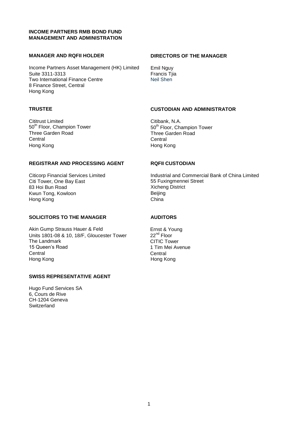## **INCOME PARTNERS RMB BOND FUND MANAGEMENT AND ADMINISTRATION**

## **MANAGER AND RQFII HOLDER DIRECTORS OF THE MANAGER**

Income Partners Asset Management (HK) Limited Emil Nguy<br>Suite 3311-3313 Francis Tjia Suite 3311-3313<br>Two International Finance Centre<br>Neil Shen Two International Finance Centre 8 Finance Street, Central Hong Kong

50<sup>th</sup> Floor, Champion Tower 50<sup>th</sup> Floor, Champion Tower 50<sup>th</sup> Floor, Champion Three Garden Road Three Garden Road<br>
Central Central<br>
Central Central Central Hong Kong Hong Kong

# **TRUSTEE CUSTODIAN AND ADMINISTRATOR**

Cititrust Limited<br>
50<sup>th</sup> Floor, Champion Tower<br>
50<sup>th</sup> Floor, Champion Tower<br>
50<sup>th</sup> Floor, Champion Tower

#### **REGISTRAR AND PROCESSING AGENT RQFII CUSTODIAN**

Citi Tower, One Bay East 65 Fuxingmennei Street 83 Hoi Bun Road<br>
83 Hoi Bun Road 65 Street 20 Street 20 Street 20 Street 20 Street 20 Street 20 Street 20 Street 20 Street 20 S 83 Hoi Bun Road Kwun Tong, Kowloon Beijing Hong Kong **China** 

# **SOLICITORS TO THE MANAGER AUDITORS**

Akin Gump Strauss Hauer & Feld<br>Units 1801-08 & 10, 18/F, Gloucester Tower 22<sup>nd</sup> Floor Units 1801-08 & 10, 18/F, Gloucester Tower The Landmark CITIC Tower 15 Queen's Road 15 November 2012 1 Tim Mei Avenue Central Central Hong Kong Hong Kong

#### **SWISS REPRESENTATIVE AGENT**

Hugo Fund Services SA 6, Cours de Rive CH-1204 Geneva **Switzerland** 

Citicorp Financial Services Limited Industrial and Commercial Bank of China Limited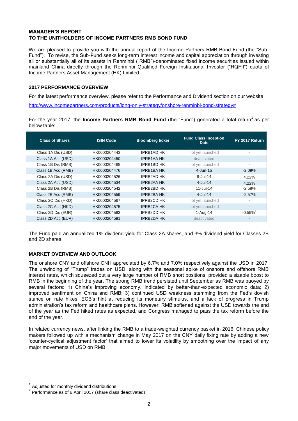## **MANAGER'S REPORT TO THE UNITHOLDERS OF INCOME PARTNERS RMB BOND FUND**

We are pleased to provide you with the annual report of the Income Partners RMB Bond Fund (the "Sub-Fund"). To revise, the Sub-Fund seeks long-term interest income and capital appreciation through investing all or substantially all of its assets in Renminbi ("RMB")-denominated fixed income securities issued within mainland China directly through the Renminbi Qualified Foreign Institutional Investor ("RQFII") quota of Income Partners Asset Management (HK) Limited.

## **2017 PERFORMANCE OVERVIEW**

For the latest performance overview, please refer to the Performance and Dividend section on our website

[http://www.incomepartners.com/products/long-only-strategy/onshore-renminbi-bond-strategy#](http://www.incomepartners.com/products/long-only-strategy/onshore-renminbi-bond-strategy)

For the year 2017, the **Income Partners RMB Bond Fund** (the "Fund") generated a total return<sup>1</sup> as per below table:

| <b>Class of Shares</b> | <b>ISIN Code</b> | <b>Bloomberg ticker</b> | <b>Fund Class Inception</b><br><b>Date</b> | FY 2017 Return           |
|------------------------|------------------|-------------------------|--------------------------------------------|--------------------------|
| Class 1A Dis (USD)     | HK0000204443     | <b>IPRB1AD HK</b>       | not yet launched                           |                          |
| Class 1A Acc (USD)     | HK0000204450     | <b>IPRB1AA HK</b>       | deactivated                                |                          |
| Class 1B Dis (RMB)     | HK0000204468     | <b>IPRB1BD HK</b>       | not yet launched                           | $\overline{\phantom{a}}$ |
| Class 1B Acc (RMB)     | HK0000204476     | <b>IPRB1BA HK</b>       | 4-Jun-15                                   | $-2.09\%$                |
| Class 2A Dis (USD)     | HK0000204526     | <b>IPRB2AD HK</b>       | $8 -$ Jul-14                               | $4.22\%$                 |
| Class 2A Acc (USD)     | HK0000204534     | <b>IPRB2AA HK</b>       | $4$ -Jul-14                                | 4.22%                    |
| Class 2B Dis (RMB)     | HK0000204542     | <b>IPRB2BD HK</b>       | $11 -$ Jul-14                              | $-2.58%$                 |
| Class 2B Acc (RMB)     | HK0000204559     | <b>IPRB2BA HK</b>       | $4$ -Jul-14                                | $-2.57\%$                |
| Class 2C Dis (HKD)     | HK0000204567     | <b>IPRB2CD HK</b>       | not yet launched                           | ٠                        |
| Class 2C Acc (HKD)     | HK0000204575     | <b>IPRB2CA HK</b>       | not yet launched                           | $\sim$                   |
| Class 2D Dis (EUR)     | HK0000204583     | <b>IPRB2DD HK</b>       | 1-Aug-14                                   | $-0.59\%$ <sup>2</sup>   |
| Class 2D Acc (EUR)     | HK0000204591     | <b>IPRB2DA HK</b>       | deactivated                                |                          |

The Fund paid an annualized 1% dividend yield for Class 2A shares, and 3% dividend yield for Classes 2B and 2D shares.

## **MARKET OVERVIEW AND OUTLOOK**

The onshore CNY and offshore CNH appreciated by 6.7% and 7.0% respectively against the USD in 2017. The unwinding of "Trump" trades on USD, along with the seasonal spike of onshore and offshore RMB interest rates, which squeezed out a very large number of RMB short positions, provided a sizable boost to RMB in the beginning of the year. The strong RMB trend persisted until September as RMB was buoyed by several factors: 1) China's improving economy, indicated by better-than-expected economic data; 2) improved sentiment on China and RMB; 3) continued USD weakness stemming from the Fed's dovish stance on rate hikes, ECB's hint at reducing its monetary stimulus, and a lack of progress in Trump administration's tax reform and healthcare plans. However, RMB softened against the USD towards the end of the year as the Fed hiked rates as expected, and Congress managed to pass the tax reform before the end of the year.

In related currency news, after linking the RMB to a trade-weighted currency basket in 2016, Chinese policy makers followed up with a mechanism change in May 2017 on the CNY daily fixing rate by adding a new 'counter-cyclical adjustment factor' that aimed to lower its volatility by smoothing over the impact of any major movements of USD on RMB.

 $\overline{\phantom{a}}$ 

<sup>1</sup> Adjusted for monthly dividend distributions

 $2$  Performance as of 6 April 2017 (share class deactivated)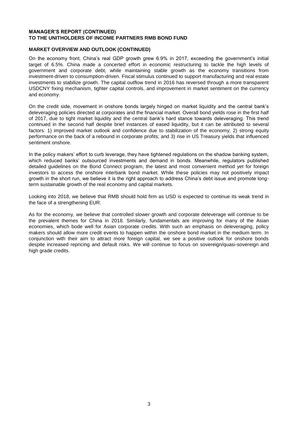#### **MANAGER'S REPORT (CONTINUED) TO THE UNITHOLDERS OF INCOME PARTNERS RMB BOND FUND**

## **MARKET OVERVIEW AND OUTLOOK (CONTINUED)**

On the economy front, China's real GDP growth grew 6.9% in 2017, exceeding the government's initial target of 6.5%. China made a concerted effort in economic restructuring to tackle the high levels of government and corporate debt, while maintaining stable growth as the economy transitions from investment-driven to consumption-driven. Fiscal stimulus continued to support manufacturing and real estate investments to stabilize growth. The capital outflow trend in 2016 has reversed through a more transparent USDCNY fixing mechanism, tighter capital controls, and improvement in market sentiment on the currency and economy.

On the credit side, movement in onshore bonds largely hinged on market liquidity and the central bank's deleveraging policies directed at corporates and the financial market. Overall bond yields rose in the first half of 2017, due to tight market liquidity and the central bank's hard stance towards deleveraging. This trend continued in the second half despite brief instances of eased liquidity, but it can be attributed to several factors: 1) improved market outlook and confidence due to stabilization of the economy; 2) strong equity performance on the back of a rebound in corporate profits; and 3) rise in US Treasury yields that influenced sentiment onshore.

In the policy makers' effort to curb leverage, they have tightened regulations on the shadow banking system, which reduced banks' outsourced investments and demand in bonds. Meanwhile, regulators published detailed guidelines on the Bond Connect program, the latest and most convenient method yet for foreign investors to access the onshore interbank bond market. While these policies may not positively impact growth in the short run, we believe it is the right approach to address China's debt issue and promote longterm sustainable growth of the real economy and capital markets.

Looking into 2018, we believe that RMB should hold firm as USD is expected to continue its weak trend in the face of a strengthening EUR.

As for the economy, we believe that controlled slower growth and corporate deleverage will continue to be the prevalent themes for China in 2018. Similarly, fundamentals are improving for many of the Asian economies, which bode well for Asian corporate credits. With such an emphasis on deleveraging, policy makers should allow more credit events to happen within the onshore bond market in the medium term. In conjunction with their aim to attract more foreign capital, we see a positive outlook for onshore bonds despite increased repricing and default risks. We will continue to focus on sovereign/quasi-sovereign and high grade credits.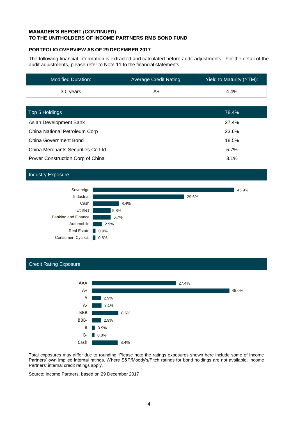## **MANAGER'S REPORT (CONTINUED) TO THE UNITHOLDERS OF INCOME PARTNERS RMB BOND FUND**

## **PORTFOLIO OVERVIEW AS OF 29 DECEMBER 2017**

The following financial information is extracted and calculated before audit adjustments. For the detail of the audit adjustments, please refer to Note 11 to the financial statements.

| <b>Modified Duration:</b> | Average Credit Rating: | Yield to Maturity (YTM): |
|---------------------------|------------------------|--------------------------|
| 3.0 years                 | A+                     | $4.4\%$                  |

| Top 5 Holdings                    | 78.4% |
|-----------------------------------|-------|
| Asian Development Bank            | 27.4% |
| China National Petroleum Corp     | 23.6% |
| <b>China Government Bond</b>      | 18.5% |
| China Merchants Securities Co Ltd | 5.7%  |
| Power Construction Corp of China  | 3.1%  |

## Industry Exposure



#### Credit Rating Exposure



Total exposures may differ due to rounding. Please note the ratings exposures shown here include some of Income Partners' own implied internal ratings. Where S&P/Moody's/Fitch ratings for bond holdings are not available, Income Partners' internal credit ratings apply.

Source: Income Partners, based on 29 December 2017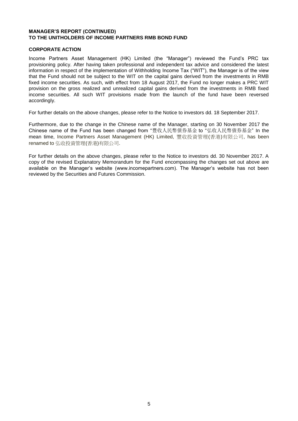## **MANAGER'S REPORT (CONTINUED) TO THE UNITHOLDERS OF INCOME PARTNERS RMB BOND FUND**

## **CORPORATE ACTION**

Income Partners Asset Management (HK) Limited (the "Manager") reviewed the Fund's PRC tax provisioning policy. After having taken professional and independent tax advice and considered the latest information in respect of the implementation of Withholding Income Tax ("WIT"), the Manager is of the view that the Fund should not be subject to the WIT on the capital gains derived from the investments in RMB fixed income securities. As such, with effect from 18 August 2017, the Fund no longer makes a PRC WIT provision on the gross realized and unrealized capital gains derived from the investments in RMB fixed income securities. All such WIT provisions made from the launch of the fund have been reversed accordingly.

For further details on the above changes, please refer to the Notice to investors dd. 18 September 2017.

Furthermore, due to the change in the Chinese name of the Manager, starting on 30 November 2017 the Chinese name of the Fund has been changed from "豐收人民幣債券基金 to "弘收人民幣債券基金" In the mean time, Income Partners Asset Management (HK) Limited, 豐收投資管理(香港)有限公司, has been renamed to 弘收投資管理(香港)有限公司.

For further details on the above changes, please refer to the Notice to investors dd. 30 November 2017. A copy of the revised Explanatory Memorandum for the Fund encompassing the changes set out above are available on the Manager's website (www.incomepartners.com). The Manager's website has not been reviewed by the Securities and Futures Commission.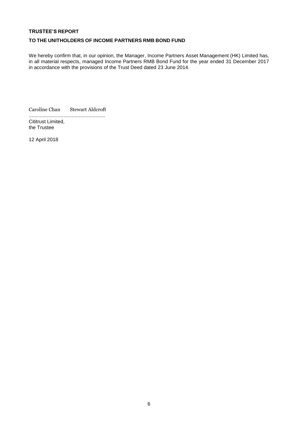## **TRUSTEE'S REPORT**

## **TO THE UNITHOLDERS OF INCOME PARTNERS RMB BOND FUND**

We hereby confirm that, in our opinion, the Manager, Income Partners Asset Management (HK) Limited has, in all material respects, managed Income Partners RMB Bond Fund for the year ended 31 December 2017 in accordance with the provisions of the Trust Deed dated 23 June 2014.

Caroline Chan Stewart Aldcroft

....................................................... Cititrust Limited, the Trustee

12 April 2018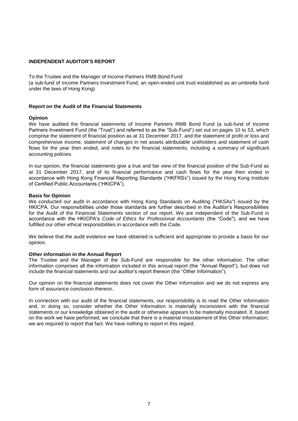## **INDEPENDENT AUDITOR'S REPORT**

To the Trustee and the Manager of Income Partners RMB Bond Fund

(a sub-fund of Income Partners Investment Fund, an open-ended unit trust established as an umbrella fund under the laws of Hong Kong)

#### **Report on the Audit of the Financial Statements**

#### **Opinion**

We have audited the financial statements of Income Partners RMB Bond Fund (a sub-fund of Income Partners Investment Fund (the "Trust") and referred to as the "Sub-Fund") set out on pages 10 to 53, which comprise the statement of financial position as at 31 December 2017, and the statement of profit or loss and comprehensive income, statement of changes in net assets attributable unitholders and statement of cash flows for the year then ended, and notes to the financial statements, including a summary of significant accounting policies.

In our opinion, the financial statements give a true and fair view of the financial position of the Sub-Fund as at 31 December 2017, and of its financial performance and cash flows for the year then ended in accordance with Hong Kong Financial Reporting Standards ("HKFRSs") issued by the Hong Kong Institute of Certified Public Accountants ("HKICPA").

#### **Basis for Opinion**

We conducted our audit in accordance with Hong Kong Standards on Auditing ("HKSAs") issued by the HKICPA. Our responsibilities under those standards are further described in the Auditor's Responsibilities for the Audit of the Financial Statements section of our report. We are independent of the Sub-Fund in accordance with the HKICPA's *Code of Ethics for Professional Accountants* (the "Code"), and we have fulfilled our other ethical responsibilities in accordance with the Code.

We believe that the audit evidence we have obtained is sufficient and appropriate to provide a basis for our opinion.

#### **Other information in the Annual Report**

The Trustee and the Manager of the Sub-Fund are responsible for the other information. The other information comprises all the information included in this annual report (the "Annual Report"), but does not include the financial statements and our auditor's report thereon (the "Other Information").

Our opinion on the financial statements does not cover the Other Information and we do not express any form of assurance conclusion thereon.

In connection with our audit of the financial statements, our responsibility is to read the Other Information and, in doing so, consider whether the Other Information is materially inconsistent with the financial statements or our knowledge obtained in the audit or otherwise appears to be materially misstated. If, based on the work we have performed, we conclude that there is a material misstatement of this Other Information; we are required to report that fact. We have nothing to report in this regard.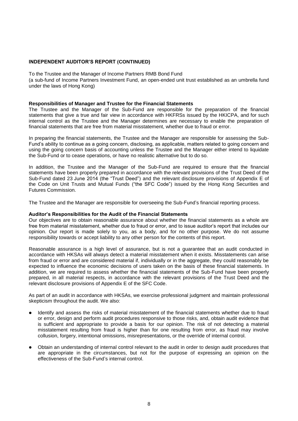## **INDEPENDENT AUDITOR'S REPORT (CONTINUED)**

#### To the Trustee and the Manager of Income Partners RMB Bond Fund

(a sub-fund of Income Partners Investment Fund, an open-ended unit trust established as an umbrella fund under the laws of Hong Kong)

#### **Responsibilities of Manager and Trustee for the Financial Statements**

The Trustee and the Manager of the Sub-Fund are responsible for the preparation of the financial statements that give a true and fair view in accordance with HKFRSs issued by the HKICPA, and for such internal control as the Trustee and the Manager determines are necessary to enable the preparation of financial statements that are free from material misstatement, whether due to fraud or error.

In preparing the financial statements, the Trustee and the Manager are responsible for assessing the Sub-Fund's ability to continue as a going concern, disclosing, as applicable, matters related to going concern and using the going concern basis of accounting unless the Trustee and the Manager either intend to liquidate the Sub-Fund or to cease operations, or have no realistic alternative but to do so.

In addition, the Trustee and the Manager of the Sub-Fund are required to ensure that the financial statements have been properly prepared in accordance with the relevant provisions of the Trust Deed of the Sub-Fund dated 23 June 2014 (the "Trust Deed") and the relevant disclosure provisions of Appendix E of the Code on Unit Trusts and Mutual Funds ("the SFC Code") issued by the Hong Kong Securities and Futures Commission.

The Trustee and the Manager are responsible for overseeing the Sub-Fund's financial reporting process.

#### **Auditor's Responsibilities for the Audit of the Financial Statements**

Our objectives are to obtain reasonable assurance about whether the financial statements as a whole are free from material misstatement, whether due to fraud or error, and to issue auditor's report that includes our opinion. Our report is made solely to you, as a body, and for no other purpose. We do not assume responsibility towards or accept liability to any other person for the contents of this report.

Reasonable assurance is a high level of assurance, but is not a guarantee that an audit conducted in accordance with HKSAs will always detect a material misstatement when it exists. Misstatements can arise from fraud or error and are considered material if, individually or in the aggregate, they could reasonably be expected to influence the economic decisions of users taken on the basis of these financial statements. In addition, we are required to assess whether the financial statements of the Sub-Fund have been properly prepared, in all material respects, in accordance with the relevant provisions of the Trust Deed and the relevant disclosure provisions of Appendix E of the SFC Code.

As part of an audit in accordance with HKSAs, we exercise professional judgment and maintain professional skepticism throughout the audit. We also:

- Identify and assess the risks of material misstatement of the financial statements whether due to fraud or error, design and perform audit procedures responsive to those risks, and, obtain audit evidence that is sufficient and appropriate to provide a basis for our opinion. The risk of not detecting a material misstatement resulting from fraud is higher than for one resulting from error, as fraud may involve collusion, forgery, intentional omissions, misrepresentations, or the override of internal control.
- Obtain an understanding of internal control relevant to the audit in order to design audit procedures that are appropriate in the circumstances, but not for the purpose of expressing an opinion on the effectiveness of the Sub-Fund's internal control.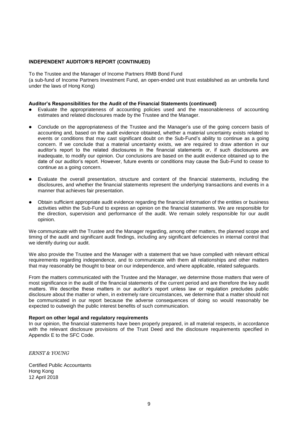## **INDEPENDENT AUDITOR'S REPORT (CONTINUED)**

To the Trustee and the Manager of Income Partners RMB Bond Fund (a sub-fund of Income Partners Investment Fund, an open-ended unit trust established as an umbrella fund under the laws of Hong Kong)

#### **Auditor's Responsibilities for the Audit of the Financial Statements (continued)**

- Evaluate the appropriateness of accounting policies used and the reasonableness of accounting estimates and related disclosures made by the Trustee and the Manager.
- Conclude on the appropriateness of the Trustee and the Manager's use of the going concern basis of accounting and, based on the audit evidence obtained, whether a material uncertainty exists related to events or conditions that may cast significant doubt on the Sub-Fund's ability to continue as a going concern. If we conclude that a material uncertainty exists, we are required to draw attention in our auditor's report to the related disclosures in the financial statements or, if such disclosures are inadequate, to modify our opinion. Our conclusions are based on the audit evidence obtained up to the date of our auditor's report. However, future events or conditions may cause the Sub-Fund to cease to continue as a going concern.
- Evaluate the overall presentation, structure and content of the financial statements, including the disclosures, and whether the financial statements represent the underlying transactions and events in a manner that achieves fair presentation.
- Obtain sufficient appropriate audit evidence regarding the financial information of the entities or business activities within the Sub-Fund to express an opinion on the financial statements. We are responsible for the direction, supervision and performance of the audit. We remain solely responsible for our audit opinion.

We communicate with the Trustee and the Manager regarding, among other matters, the planned scope and timing of the audit and significant audit findings, including any significant deficiencies in internal control that we identify during our audit.

We also provide the Trustee and the Manager with a statement that we have complied with relevant ethical requirements regarding independence, and to communicate with them all relationships and other matters that may reasonably be thought to bear on our independence, and where applicable, related safeguards.

From the matters communicated with the Trustee and the Manager, we determine those matters that were of most significance in the audit of the financial statements of the current period and are therefore the key audit matters. We describe these matters in our auditor's report unless law or regulation precludes public disclosure about the matter or when, in extremely rare circumstances, we determine that a matter should not be communicated in our report because the adverse consequences of doing so would reasonably be expected to outweigh the public interest benefits of such communication.

#### **Report on other legal and regulatory requirements**

In our opinion, the financial statements have been properly prepared, in all material respects, in accordance with the relevant disclosure provisions of the Trust Deed and the disclosure requirements specified in Appendix E to the SFC Code.

*ERNST & YOUNG*

Certified Public Accountants Hong Kong 12 April 2018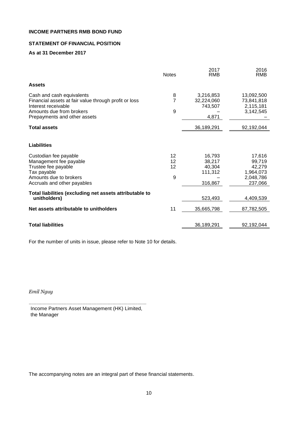# **STATEMENT OF FINANCIAL POSITION**

# **As at 31 December 2017**

|                                                                                                                                                                       | <b>Notes</b>        | 2017<br><b>RMB</b>                               | 2016<br><b>RMB</b>                                              |
|-----------------------------------------------------------------------------------------------------------------------------------------------------------------------|---------------------|--------------------------------------------------|-----------------------------------------------------------------|
| <b>Assets</b>                                                                                                                                                         |                     |                                                  |                                                                 |
| Cash and cash equivalents<br>Financial assets at fair value through profit or loss<br>Interest receivable<br>Amounts due from brokers<br>Prepayments and other assets | 8<br>7<br>9         | 3,216,853<br>32,224,060<br>743.507<br>4,871      | 13,092,500<br>73,841,818<br>2,115,181<br>3,142,545              |
| <b>Total assets</b>                                                                                                                                                   |                     | 36,189,291                                       | 92,192,044                                                      |
| <b>Liabilities</b>                                                                                                                                                    |                     |                                                  |                                                                 |
| Custodian fee payable<br>Management fee payable<br>Trustee fee payable<br>Tax payable<br>Amounts due to brokers<br>Accruals and other payables                        | 12<br>12<br>12<br>9 | 16,793<br>38,217<br>40,304<br>111,312<br>316,867 | 17,616<br>99,719<br>42,279<br>1,964,073<br>2,048,786<br>237,066 |
| Total liabilities (excluding net assets attributable to<br>unitholders)                                                                                               |                     | 523,493                                          | 4,409,539                                                       |
| Net assets attributable to unitholders                                                                                                                                | 11                  | 35,665,798                                       | 87,782,505                                                      |
| <b>Total liabilities</b>                                                                                                                                              |                     | 36,189,291                                       | 92,192,044                                                      |

For the number of units in issue, please refer to Note 10 for details.

*Emil Nguy*

.............................................................................................. Income Partners Asset Management (HK) Limited, the Manager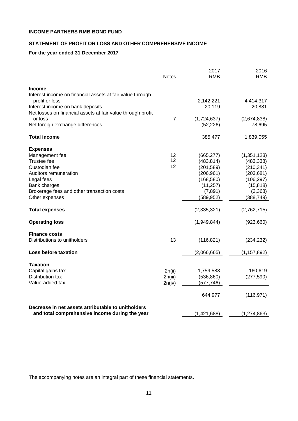# **STATEMENT OF PROFIT OR LOSS AND OTHER COMPREHENSIVE INCOME**

# **For the year ended 31 December 2017**

|                                                             | <b>Notes</b>   | 2017<br><b>RMB</b> | 2016<br><b>RMB</b> |
|-------------------------------------------------------------|----------------|--------------------|--------------------|
| <b>Income</b>                                               |                |                    |                    |
| Interest income on financial assets at fair value through   |                |                    |                    |
| profit or loss                                              |                | 2,142,221          | 4,414,317          |
| Interest income on bank deposits                            |                | 20,119             | 20,881             |
| Net losses on financial assets at fair value through profit |                |                    |                    |
| or loss                                                     | $\overline{7}$ | (1,724,637)        | (2,674,838)        |
| Net foreign exchange differences                            |                | (52, 226)          | 78,695             |
| <b>Total income</b>                                         |                | 385,477            | 1,839,055          |
| <b>Expenses</b>                                             |                |                    |                    |
| Management fee                                              | 12             | (665, 277)         | (1, 351, 123)      |
| Trustee fee                                                 | 12             | (483, 814)         | (483, 338)         |
| Custodian fee                                               | 12             | (201, 589)         | (210, 341)         |
| Auditors remuneration                                       |                | (206, 961)         | (203, 681)         |
| Legal fees                                                  |                | (168, 580)         | (106, 297)         |
| Bank charges                                                |                | (11, 257)          | (15, 818)          |
| Brokerage fees and other transaction costs                  |                | (7, 891)           | (3,368)            |
| Other expenses                                              |                | (589,952)          | (388, 749)         |
| <b>Total expenses</b>                                       |                | (2,335,321)        | (2,762,715)        |
| <b>Operating loss</b>                                       |                | (1,949,844)        | (923,660)          |
| <b>Finance costs</b>                                        |                |                    |                    |
| Distributions to unitholders                                | 13             | (116, 821)         | (234, 232)         |
| <b>Loss before taxation</b>                                 |                | (2,066,665)        | (1, 157, 892)      |
| Taxation                                                    |                |                    |                    |
| Capital gains tax                                           | 2n(ii)         | 1,759,583          | 160,619            |
| Distribution tax                                            | 2n(iii)        | (536, 860)         | (277, 590)         |
| Value-added tax                                             | 2n(iv)         | (577, 746)         |                    |
|                                                             |                | 644,977            | (116, 971)         |
| Decrease in net assets attributable to unitholders          |                |                    |                    |
| and total comprehensive income during the year              |                | (1,421,688)        | (1, 274, 863)      |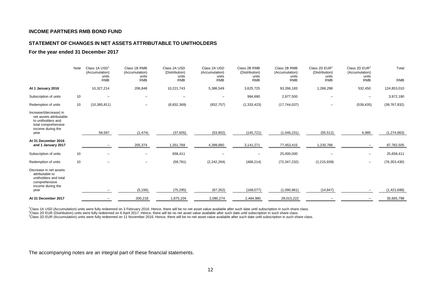## **STATEMENT OF CHANGES IN NET ASSETS ATTRIBUTABLE TO UNITHOLDERS**

#### **For the year ended 31 December 2017**

|                                                                                                                             | Note | Class 1A USD<br>(Accumulation)<br>units<br><b>RMB</b> | Class 1B RMB<br>(Accumulation)<br>units<br><b>RMB</b> | Class 2A USD<br>(Distribution)<br>units<br><b>RMB</b> | Class 2A USD<br>(Accumulation)<br>units<br><b>RMB</b> | Class 2B RMB<br>(Distribution)<br>units<br><b>RMB</b> | Class 2B RMB<br>(Accumulation)<br>units<br><b>RMB</b> | Class 2D EUR <sup>2</sup><br>(Distribution)<br>units<br><b>RMB</b> | Class 2D $EUR3$<br>(Accumulation)<br>units<br><b>RMB</b> | Total<br><b>RMB</b> |
|-----------------------------------------------------------------------------------------------------------------------------|------|-------------------------------------------------------|-------------------------------------------------------|-------------------------------------------------------|-------------------------------------------------------|-------------------------------------------------------|-------------------------------------------------------|--------------------------------------------------------------------|----------------------------------------------------------|---------------------|
| At 1 January 2016                                                                                                           |      | 10,327,214                                            | 206,848                                               | 10,221,743                                            | 5,386,549                                             | 3,625,725                                             | 93,266,183                                            | 1,286,298                                                          | 532,450                                                  | 124,853,010         |
| Subscription of units                                                                                                       | 10   |                                                       | $\overline{\phantom{0}}$                              |                                                       | $\qquad \qquad -$                                     | 994,690                                               | 2,977,500                                             | $\qquad \qquad -$                                                  | $\overline{\phantom{m}}$                                 | 3,972,190           |
| Redemption of units                                                                                                         | 10   | (10, 385, 811)                                        | $\qquad \qquad$                                       | (8,832,369)                                           | (932, 757)                                            | (1, 333, 423)                                         | (17, 744, 037)                                        | $\overline{\phantom{0}}$                                           | (539, 435)                                               | (39, 767, 832)      |
| Increase/(decrease) in<br>net assets attributable<br>to unitholders and<br>total comprehensive<br>income during the<br>year |      | 58,597                                                | (1, 474)                                              | (37, 605)                                             | (53, 902)                                             | (145, 721)                                            | (1,046,231)                                           | (55, 512)                                                          | 6,985                                                    | (1, 274, 863)       |
| At 31 December 2016<br>and 1 January 2017                                                                                   |      |                                                       | 205,374                                               | 1,351,769                                             | 4,399,890                                             | 3,141,271                                             | 77,453,415                                            | 1,230,786                                                          |                                                          | 87,782,505          |
| Subscription of units                                                                                                       | 10   |                                                       |                                                       | 658,411                                               | $\overline{\phantom{0}}$                              | $\overline{\phantom{0}}$                              | 25,000,000                                            |                                                                    | $\overline{\phantom{m}}$                                 | 25,658,411          |
| Redemption of units                                                                                                         | 10   |                                                       |                                                       | (59, 781)                                             | (2, 242, 264)                                         | (488, 214)                                            | (72, 347, 232)                                        | (1, 215, 939)                                                      | $\overline{\phantom{m}}$                                 | (76, 353, 430)      |
| Decrease in net assets<br>attributable to<br>unitholders and total<br>comprehensive<br>income during the<br>year            |      |                                                       | (5, 156)                                              | (75, 295)                                             | (67, 352)                                             | (168, 077)                                            | (1,090,961)                                           | (14, 847)                                                          |                                                          | (1,421,688)         |
| At 31 December 2017                                                                                                         |      |                                                       | 200,218                                               | 1,875,104                                             | 2,090,274                                             | 2,484,980                                             | 29,015,222                                            |                                                                    | $\overline{\phantom{0}}$                                 | 35,665,798          |

<sup>1</sup>Class 1A USD (Accumulation) units were fully redeemed on 3 February 2016. Hence, there will be no net asset value available after such date until subscription in such share class. <sup>2</sup>Class 2D EUR (Distribution) units were fully redeemed on 6 April 2017. Hence, there will be no net asset value available after such date until subscription in such share class. <sup>3</sup>Class 2D EUR (Accumulation) units were fully redeemed on 11 November 2016. Hence, there will be no net asset value available after such date until subscription in such share class.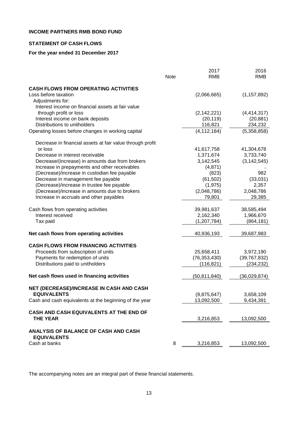# **STATEMENT OF CASH FLOWS**

# **For the year ended 31 December 2017**

|                                                                   |      | 2017           | 2016           |
|-------------------------------------------------------------------|------|----------------|----------------|
|                                                                   | Note | <b>RMB</b>     | <b>RMB</b>     |
| <b>CASH FLOWS FROM OPERATING ACTIVITIES</b>                       |      |                |                |
| Loss before taxation                                              |      | (2,066,665)    | (1, 157, 892)  |
| Adjustments for:                                                  |      |                |                |
| Interest income on financial assets at fair value                 |      |                |                |
| through profit or loss                                            |      | (2, 142, 221)  | (4, 414, 317)  |
| Interest income on bank deposits                                  |      | (20, 119)      | (20, 881)      |
| Distributions to unitholders                                      |      | 116,821        | 234,232        |
| Operating losses before changes in working capital                |      | (4, 112, 184)  | (5,358,858)    |
| Decrease in financial assets at fair value through profit         |      |                |                |
| or loss                                                           |      | 41,617,758     | 41,304,678     |
| Decrease in interest receivable                                   |      | 1,371,674      | 3,733,740      |
| Decrease/(increase) in amounts due from brokers                   |      | 3,142,545      | (3, 142, 545)  |
| Increase in prepayments and other receivables                     |      | (4,871)        |                |
| (Decrease)/increase in custodian fee payable                      |      | (823)          | 982            |
| Decrease in management fee payable                                |      | (61, 502)      | (33,031)       |
| (Decrease)/increase in trustee fee payable                        |      | (1, 975)       | 2,357          |
| (Decrease)/increase in amounts due to brokers                     |      | (2,048,786)    | 2,048,786      |
| Increase in accruals and other payables                           |      | 79,801         | 29,385         |
| Cash flows from operating activities                              |      | 39,981,637     | 38,585,494     |
| Interest received                                                 |      | 2,162,340      | 1,966,670      |
| Tax paid                                                          |      | (1, 207, 784)  | (864, 181)     |
| Net cash flows from operating activities                          |      | 40,936,193     | 39,687,983     |
| <b>CASH FLOWS FROM FINANCING ACTIVITIES</b>                       |      |                |                |
| Proceeds from subscription of units                               |      | 25,658,411     | 3,972,190      |
| Payments for redemption of units                                  |      | (76, 353, 430) | (39, 767, 832) |
| Distributions paid to unitholders                                 |      | (116, 821)     | (234, 232)     |
| Net cash flows used in financing activities                       |      | (50, 811, 840) | (36,029,874)   |
| NET (DECREASE)/INCREASE IN CASH AND CASH                          |      |                |                |
| <b>EQUIVALENTS</b>                                                |      | (9,875,647)    | 3,658,109      |
| Cash and cash equivalents at the beginning of the year            |      | 13,092,500     | 9,434,391      |
| CASH AND CASH EQUIVALENTS AT THE END OF                           |      |                |                |
| <b>THE YEAR</b>                                                   |      | 3,216,853      | 13,092,500     |
| <b>ANALYSIS OF BALANCE OF CASH AND CASH</b><br><b>EQUIVALENTS</b> |      |                |                |
| Cash at banks                                                     | 8    | 3,216,853      | 13,092,500     |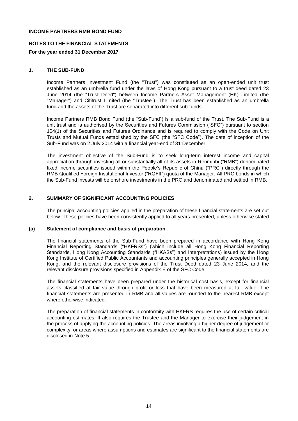## **NOTES TO THE FINANCIAL STATEMENTS**

#### **For the year ended 31 December 2017**

#### **1. THE SUB-FUND**

Income Partners Investment Fund (the "Trust") was constituted as an open-ended unit trust established as an umbrella fund under the laws of Hong Kong pursuant to a trust deed dated 23 June 2014 (the "Trust Deed") between Income Partners Asset Management (HK) Limited (the "Manager") and Cititrust Limited (the "Trustee"). The Trust has been established as an umbrella fund and the assets of the Trust are separated into different sub-funds.

Income Partners RMB Bond Fund (the "Sub-Fund") is a sub-fund of the Trust. The Sub-Fund is a unit trust and is authorised by the Securities and Futures Commission ("SFC") pursuant to section 104(1) of the Securities and Futures Ordinance and is required to comply with the Code on Unit Trusts and Mutual Funds established by the SFC (the "SFC Code"). The date of inception of the Sub-Fund was on 2 July 2014 with a financial year-end of 31 December.

The investment objective of the Sub-Fund is to seek long-term interest income and capital appreciation through investing all or substantially all of its assets in Renminbi ("RMB") denominated fixed income securities issued within the People's Republic of China ("PRC") directly through the RMB Qualified Foreign Institutional Investor ("RQFII") quota of the Manager. All PRC bonds in which the Sub-Fund invests will be onshore investments in the PRC and denominated and settled in RMB.

## **2. SUMMARY OF SIGNIFICANT ACCOUNTING POLICIES**

The principal accounting policies applied in the preparation of these financial statements are set out below. These policies have been consistently applied to all years presented, unless otherwise stated.

#### **(a) Statement of compliance and basis of preparation**

The financial statements of the Sub-Fund have been prepared in accordance with Hong Kong Financial Reporting Standards ("HKFRSs") (which include all Hong Kong Financial Reporting Standards, Hong Kong Accounting Standards ("HKASs") and Interpretations) issued by the Hong Kong Institute of Certified Public Accountants and accounting principles generally accepted in Hong Kong, and the relevant disclosure provisions of the Trust Deed dated 23 June 2014, and the relevant disclosure provisions specified in Appendix E of the SFC Code.

The financial statements have been prepared under the historical cost basis, except for financial assets classified at fair value through profit or loss that have been measured at fair value. The financial statements are presented in RMB and all values are rounded to the nearest RMB except where otherwise indicated.

The preparation of financial statements in conformity with HKFRS requires the use of certain critical accounting estimates. It also requires the Trustee and the Manager to exercise their judgement in the process of applying the accounting policies. The areas involving a higher degree of judgement or complexity, or areas where assumptions and estimates are significant to the financial statements are disclosed in Note 5.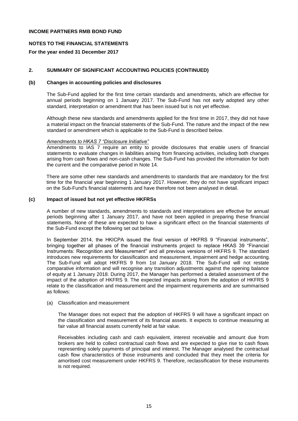## **NOTES TO THE FINANCIAL STATEMENTS**

## **For the year ended 31 December 2017**

## **2. SUMMARY OF SIGNIFICANT ACCOUNTING POLICIES (CONTINUED)**

#### **(b) Changes in accounting policies and disclosures**

The Sub-Fund applied for the first time certain standards and amendments, which are effective for annual periods beginning on 1 January 2017. The Sub-Fund has not early adopted any other standard, interpretation or amendment that has been issued but is not yet effective.

Although these new standards and amendments applied for the first time in 2017, they did not have a material impact on the financial statements of the Sub-Fund. The nature and the impact of the new standard or amendment which is applicable to the Sub-Fund is described below.

#### *Amendments to HKAS 7 "Disclosure Initiative"*

Amendments to IAS 7 require an entity to provide disclosures that enable users of financial statements to evaluate changes in liabilities arising from financing activities, including both changes arising from cash flows and non-cash changes. The Sub-Fund has provided the information for both the current and the comparative period in Note 14.

There are some other new standards and amendments to standards that are mandatory for the first time for the financial year beginning 1 January 2017. However, they do not have significant impact on the Sub-Fund's financial statements and have therefore not been analysed in detail.

## **(c) Impact of issued but not yet effective HKFRSs**

A number of new standards, amendments to standards and interpretations are effective for annual periods beginning after 1 January 2017, and have not been applied in preparing these financial statements. None of these are expected to have a significant effect on the financial statements of the Sub-Fund except the following set out below.

In September 2014, the HKICPA issued the final version of HKFRS 9 "Financial instruments", bringing together all phases of the financial instruments project to replace HKAS 39 "Financial Instruments: Recognition and Measurement" and all previous versions of HKFRS 9. The standard introduces new requirements for classification and measurement, impairment and hedge accounting. The Sub-Fund will adopt HKFRS 9 from 1st January 2018. The Sub-Fund will not restate comparative information and will recognise any transition adjustments against the opening balance of equity at 1 January 2018. During 2017, the Manager has performed a detailed assessment of the impact of the adoption of HKFRS 9. The expected impacts arising from the adoption of HKFRS 9 relate to the classification and measurement and the impairment requirements and are summarised as follows:

#### (a) Classification and measurement

The Manager does not expect that the adoption of HKFRS 9 will have a significant impact on the classification and measurement of its financial assets. It expects to continue measuring at fair value all financial assets currently held at fair value.

Receivables including cash and cash equivalent, interest receivable and amount due from brokers are held to collect contractual cash flows and are expected to give rise to cash flows representing solely payments of principal and interest. The Manager analysed the contractual cash flow characteristics of those instruments and concluded that they meet the criteria for amortised cost measurement under HKFRS 9. Therefore, reclassification for these instruments is not required.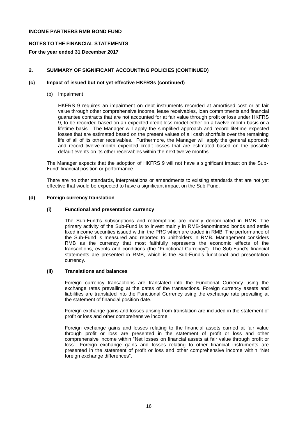## **NOTES TO THE FINANCIAL STATEMENTS**

## **For the year ended 31 December 2017**

## **2. SUMMARY OF SIGNIFICANT ACCOUNTING POLICIES (CONTINUED)**

#### **(c) Impact of issued but not yet effective HKFRSs (continued)**

(b) Impairment

HKFRS 9 requires an impairment on debt instruments recorded at amortised cost or at fair value through other comprehensive income, lease receivables, loan commitments and financial guarantee contracts that are not accounted for at fair value through profit or loss under HKFRS 9, to be recorded based on an expected credit loss model either on a twelve-month basis or a lifetime basis. The Manager will apply the simplified approach and record lifetime expected losses that are estimated based on the present values of all cash shortfalls over the remaining life of all of its other receivables. Furthermore, the Manager will apply the general approach and record twelve-month expected credit losses that are estimated based on the possible default events on its other receivables within the next twelve months.

The Manager expects that the adoption of HKFRS 9 will not have a significant impact on the Sub-Fund' financial position or performance.

There are no other standards, interpretations or amendments to existing standards that are not yet effective that would be expected to have a significant impact on the Sub-Fund.

#### **(d) Foreign currency translation**

#### **(i) Functional and presentation currency**

The Sub-Fund's subscriptions and redemptions are mainly denominated in RMB. The primary activity of the Sub-Fund is to invest mainly in RMB-denominated bonds and settle fixed income securities issued within the PRC which are traded in RMB. The performance of the Sub-Fund is measured and reported to unitholders in RMB. Management considers RMB as the currency that most faithfully represents the economic effects of the transactions, events and conditions (the "Functional Currency"). The Sub-Fund's financial statements are presented in RMB, which is the Sub-Fund's functional and presentation currency.

## **(ii) Translations and balances**

Foreign currency transactions are translated into the Functional Currency using the exchange rates prevailing at the dates of the transactions. Foreign currency assets and liabilities are translated into the Functional Currency using the exchange rate prevailing at the statement of financial position date.

Foreign exchange gains and losses arising from translation are included in the statement of profit or loss and other comprehensive income.

Foreign exchange gains and losses relating to the financial assets carried at fair value through profit or loss are presented in the statement of profit or loss and other comprehensive income within "Net losses on financial assets at fair value through profit or loss". Foreign exchange gains and losses relating to other financial instruments are presented in the statement of profit or loss and other comprehensive income within "Net foreign exchange differences".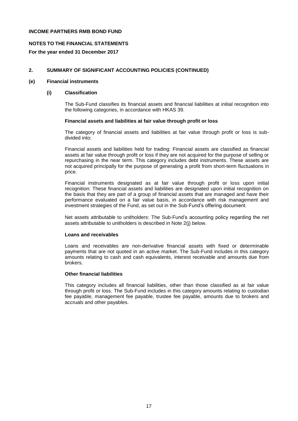## **NOTES TO THE FINANCIAL STATEMENTS**

## **For the year ended 31 December 2017**

## **2. SUMMARY OF SIGNIFICANT ACCOUNTING POLICIES (CONTINUED)**

#### **(e) Financial instruments**

## **(i) Classification**

The Sub-Fund classifies its financial assets and financial liabilities at initial recognition into the following categories, in accordance with HKAS 39.

## **Financial assets and liabilities at fair value through profit or loss**

The category of financial assets and liabilities at fair value through profit or loss is subdivided into:

Financial assets and liabilities held for trading: Financial assets are classified as financial assets at fair value through profit or loss if they are not acquired for the purpose of selling or repurchasing in the near term. This category includes debt instruments. These assets are not acquired principally for the purpose of generating a profit from short-term fluctuations in price.

Financial instruments designated as at fair value through profit or loss upon initial recognition: These financial assets and liabilities are designated upon initial recognition on the basis that they are part of a group of financial assets that are managed and have their performance evaluated on a fair value basis, in accordance with risk management and investment strategies of the Fund, as set out in the Sub-Fund's offering document.

Net assets attributable to unitholders: The Sub-Fund's accounting policy regarding the net assets attributable to unitholders is described in Note 2(j) below.

#### **Loans and receivables**

Loans and receivables are non-derivative financial assets with fixed or determinable payments that are not quoted in an active market. The Sub-Fund includes in this category amounts relating to cash and cash equivalents, interest receivable and amounts due from brokers.

#### **Other financial liabilities**

This category includes all financial liabilities, other than those classified as at fair value through profit or loss. The Sub-Fund includes in this category amounts relating to custodian fee payable, management fee payable, trustee fee payable, amounts due to brokers and accruals and other payables.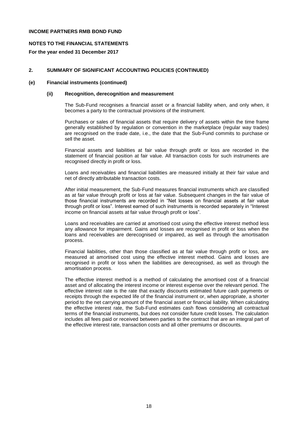## **NOTES TO THE FINANCIAL STATEMENTS**

## **For the year ended 31 December 2017**

## **2. SUMMARY OF SIGNIFICANT ACCOUNTING POLICIES (CONTINUED)**

#### **(e) Financial instruments (continued)**

#### **(ii) Recognition, derecognition and measurement**

The Sub-Fund recognises a financial asset or a financial liability when, and only when, it becomes a party to the contractual provisions of the instrument.

Purchases or sales of financial assets that require delivery of assets within the time frame generally established by regulation or convention in the marketplace (regular way trades) are recognised on the trade date, i.e., the date that the Sub-Fund commits to purchase or sell the asset.

Financial assets and liabilities at fair value through profit or loss are recorded in the statement of financial position at fair value. All transaction costs for such instruments are recognised directly in profit or loss.

Loans and receivables and financial liabilities are measured initially at their fair value and net of directly attributable transaction costs.

After initial measurement, the Sub-Fund measures financial instruments which are classified as at fair value through profit or loss at fair value. Subsequent changes in the fair value of those financial instruments are recorded in "Net losses on financial assets at fair value through profit or loss". Interest earned of such instruments is recorded separately in "Interest income on financial assets at fair value through profit or loss".

Loans and receivables are carried at amortised cost using the effective interest method less any allowance for impairment. Gains and losses are recognised in profit or loss when the loans and receivables are derecognised or impaired, as well as through the amortisation process.

Financial liabilities, other than those classified as at fair value through profit or loss, are measured at amortised cost using the effective interest method. Gains and losses are recognised in profit or loss when the liabilities are derecognised, as well as through the amortisation process.

The effective interest method is a method of calculating the amortised cost of a financial asset and of allocating the interest income or interest expense over the relevant period. The effective interest rate is the rate that exactly discounts estimated future cash payments or receipts through the expected life of the financial instrument or, when appropriate, a shorter period to the net carrying amount of the financial asset or financial liability. When calculating the effective interest rate, the Sub-Fund estimates cash flows considering all contractual terms of the financial instruments, but does not consider future credit losses. The calculation includes all fees paid or received between parties to the contract that are an integral part of the effective interest rate, transaction costs and all other premiums or discounts.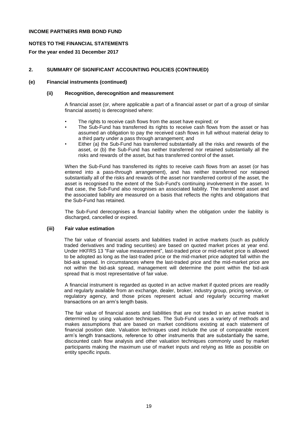## **NOTES TO THE FINANCIAL STATEMENTS**

## **For the year ended 31 December 2017**

## **2. SUMMARY OF SIGNIFICANT ACCOUNTING POLICIES (CONTINUED)**

## **(e) Financial instruments (continued)**

#### **(ii) Recognition, derecognition and measurement**

A financial asset (or, where applicable a part of a financial asset or part of a group of similar financial assets) is derecognised where:

- The rights to receive cash flows from the asset have expired; or
- The Sub-Fund has transferred its rights to receive cash flows from the asset or has assumed an obligation to pay the received cash flows in full without material delay to a third party under a pass through arrangement; and
- Either (a) the Sub-Fund has transferred substantially all the risks and rewards of the asset, or (b) the Sub-Fund has neither transferred nor retained substantially all the risks and rewards of the asset, but has transferred control of the asset.

When the Sub-Fund has transferred its rights to receive cash flows from an asset (or has entered into a pass-through arrangement), and has neither transferred nor retained substantially all of the risks and rewards of the asset nor transferred control of the asset, the asset is recognised to the extent of the Sub-Fund's continuing involvement in the asset. In that case, the Sub-Fund also recognises an associated liability. The transferred asset and the associated liability are measured on a basis that reflects the rights and obligations that the Sub-Fund has retained.

The Sub-Fund derecognises a financial liability when the obligation under the liability is discharged, cancelled or expired.

#### **(iii) Fair value estimation**

The fair value of financial assets and liabilities traded in active markets (such as publicly traded derivatives and trading securities) are based on quoted market prices at year end. Under HKFRS 13 "Fair value measurement", last-traded price or mid-market price is allowed to be adopted as long as the last-traded price or the mid-market price adopted fall within the bid-ask spread. In circumstances where the last-traded price and the mid-market price are not within the bid-ask spread, management will determine the point within the bid-ask spread that is most representative of fair value.

A financial instrument is regarded as quoted in an active market if quoted prices are readily and regularly available from an exchange, dealer, broker, industry group, pricing service, or regulatory agency, and those prices represent actual and regularly occurring market transactions on an arm's length basis.

The fair value of financial assets and liabilities that are not traded in an active market is determined by using valuation techniques. The Sub-Fund uses a variety of methods and makes assumptions that are based on market conditions existing at each statement of financial position date. Valuation techniques used include the use of comparable recent arm's length transactions, reference to other instruments that are substantially the same, discounted cash flow analysis and other valuation techniques commonly used by market participants making the maximum use of market inputs and relying as little as possible on entity specific inputs.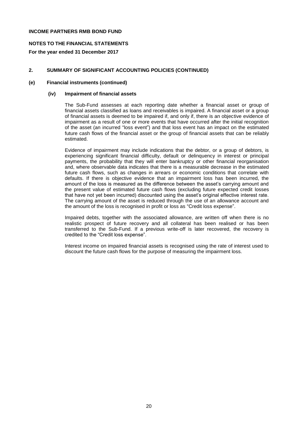## **NOTES TO THE FINANCIAL STATEMENTS**

**For the year ended 31 December 2017**

## **2. SUMMARY OF SIGNIFICANT ACCOUNTING POLICIES (CONTINUED)**

## **(e) Financial instruments (continued)**

#### **(iv) Impairment of financial assets**

The Sub-Fund assesses at each reporting date whether a financial asset or group of financial assets classified as loans and receivables is impaired. A financial asset or a group of financial assets is deemed to be impaired if, and only if, there is an objective evidence of impairment as a result of one or more events that have occurred after the initial recognition of the asset (an incurred "loss event") and that loss event has an impact on the estimated future cash flows of the financial asset or the group of financial assets that can be reliably estimated.

Evidence of impairment may include indications that the debtor, or a group of debtors, is experiencing significant financial difficulty, default or delinquency in interest or principal payments, the probability that they will enter bankruptcy or other financial reorganisation and, where observable data indicates that there is a measurable decrease in the estimated future cash flows, such as changes in arrears or economic conditions that correlate with defaults. If there is objective evidence that an impairment loss has been incurred, the amount of the loss is measured as the difference between the asset's carrying amount and the present value of estimated future cash flows (excluding future expected credit losses that have not yet been incurred) discounted using the asset's original effective interest rate. The carrying amount of the asset is reduced through the use of an allowance account and the amount of the loss is recognised in profit or loss as "Credit loss expense".

Impaired debts, together with the associated allowance, are written off when there is no realistic prospect of future recovery and all collateral has been realised or has been transferred to the Sub-Fund. If a previous write-off is later recovered, the recovery is credited to the "Credit loss expense".

Interest income on impaired financial assets is recognised using the rate of interest used to discount the future cash flows for the purpose of measuring the impairment loss.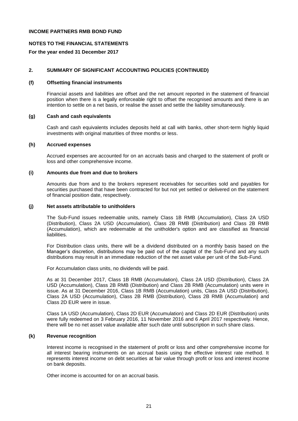## **NOTES TO THE FINANCIAL STATEMENTS**

#### **For the year ended 31 December 2017**

#### **2. SUMMARY OF SIGNIFICANT ACCOUNTING POLICIES (CONTINUED)**

#### **(f) Offsetting financial instruments**

Financial assets and liabilities are offset and the net amount reported in the statement of financial position when there is a legally enforceable right to offset the recognised amounts and there is an intention to settle on a net basis, or realise the asset and settle the liability simultaneously.

#### **(g) Cash and cash equivalents**

Cash and cash equivalents includes deposits held at call with banks, other short-term highly liquid investments with original maturities of three months or less.

#### **(h) Accrued expenses**

Accrued expenses are accounted for on an accruals basis and charged to the statement of profit or loss and other comprehensive income.

#### **(i) Amounts due from and due to brokers**

Amounts due from and to the brokers represent receivables for securities sold and payables for securities purchased that have been contracted for but not yet settled or delivered on the statement of financial position date, respectively.

#### **(j) Net assets attributable to unitholders**

The Sub-Fund issues redeemable units, namely Class 1B RMB (Accumulation), Class 2A USD (Distribution), Class 2A USD (Accumulation), Class 2B RMB (Distribution) and Class 2B RMB (Accumulation), which are redeemable at the unitholder's option and are classified as financial liabilities.

For Distribution class units, there will be a dividend distributed on a monthly basis based on the Manager's discretion, distributions may be paid out of the capital of the Sub-Fund and any such distributions may result in an immediate reduction of the net asset value per unit of the Sub-Fund.

For Accumulation class units, no dividends will be paid.

As at 31 December 2017, Class 1B RMB (Accumulation), Class 2A USD (Distribution), Class 2A USD (Accumulation), Class 2B RMB (Distribution) and Class 2B RMB (Accumulation) units were in issue. As at 31 December 2016, Class 1B RMB (Accumulation) units, Class 2A USD (Distribution), Class 2A USD (Accumulation), Class 2B RMB (Distribution), Class 2B RMB (Accumulation) and Class 2D EUR were in issue.

Class 1A USD (Accumulation), Class 2D EUR (Accumulation) and Class 2D EUR (Distribution) units were fully redeemed on 3 February 2016, 11 November 2016 and 6 April 2017 respectively. Hence, there will be no net asset value available after such date until subscription in such share class.

#### **(k) Revenue recognition**

Interest income is recognised in the statement of profit or loss and other comprehensive income for all interest bearing instruments on an accrual basis using the effective interest rate method. It represents interest income on debt securities at fair value through profit or loss and interest income on bank deposits.

Other income is accounted for on an accrual basis.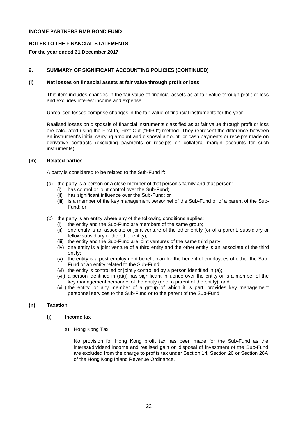## **NOTES TO THE FINANCIAL STATEMENTS**

## **For the year ended 31 December 2017**

## **2. SUMMARY OF SIGNIFICANT ACCOUNTING POLICIES (CONTINUED)**

#### **(l) Net losses on financial assets at fair value through profit or loss**

This item includes changes in the fair value of financial assets as at fair value through profit or loss and excludes interest income and expense.

Unrealised losses comprise changes in the fair value of financial instruments for the year.

Realised losses on disposals of financial instruments classified as at fair value through profit or loss are calculated using the First In, First Out ("FIFO") method. They represent the difference between an instrument's initial carrying amount and disposal amount, or cash payments or receipts made on derivative contracts (excluding payments or receipts on collateral margin accounts for such instruments).

## **(m) Related parties**

A party is considered to be related to the Sub-Fund if:

- (a) the party is a person or a close member of that person's family and that person:
	- (i) has control or joint control over the Sub-Fund;
	- (ii) has significant influence over the Sub-Fund; or
	- (iii) is a member of the key management personnel of the Sub-Fund or of a parent of the Sub-Fund; or
- (b) the party is an entity where any of the following conditions applies:
	- (i) the entity and the Sub-Fund are members of the same group;
	- (ii) one entity is an associate or joint venture of the other entity (or of a parent, subsidiary or fellow subsidiary of the other entity);
	- (iii) the entity and the Sub-Fund are joint ventures of the same third party;
	- (iv) one entity is a joint venture of a third entity and the other entity is an associate of the third entity;
	- (v) the entity is a post-employment benefit plan for the benefit of employees of either the Sub-Fund or an entity related to the Sub-Fund;
	- (vi) the entity is controlled or jointly controlled by a person identified in (a);
	- (vii) a person identified in (a)(i) has significant influence over the entity or is a member of the key management personnel of the entity (or of a parent of the entity); and
	- (viii) the entity, or any member of a group of which it is part, provides key management personnel services to the Sub-Fund or to the parent of the Sub-Fund.

## **(n) Taxation**

#### **(i) Income tax**

a) Hong Kong Tax

No provision for Hong Kong profit tax has been made for the Sub-Fund as the interest/dividend income and realised gain on disposal of investment of the Sub-Fund are excluded from the charge to profits tax under Section 14, Section 26 or Section 26A of the Hong Kong Inland Revenue Ordinance.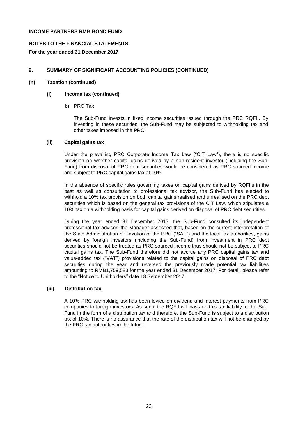## **NOTES TO THE FINANCIAL STATEMENTS**

**For the year ended 31 December 2017**

## **2. SUMMARY OF SIGNIFICANT ACCOUNTING POLICIES (CONTINUED)**

## **(n) Taxation (continued)**

## **(i) Income tax (continued)**

b) PRC Tax

The Sub-Fund invests in fixed income securities issued through the PRC RQFII. By investing in these securities, the Sub-Fund may be subjected to withholding tax and other taxes imposed in the PRC.

## **(ii) Capital gains tax**

Under the prevailing PRC Corporate Income Tax Law ("CIT Law"), there is no specific provision on whether capital gains derived by a non-resident investor (including the Sub-Fund) from disposal of PRC debt securities would be considered as PRC sourced income and subject to PRC capital gains tax at 10%.

In the absence of specific rules governing taxes on capital gains derived by RQFIIs in the past as well as consultation to professional tax advisor, the Sub-Fund has elected to withhold a 10% tax provision on both capital gains realised and unrealised on the PRC debt securities which is based on the general tax provisions of the CIT Law, which stipulates a 10% tax on a withholding basis for capital gains derived on disposal of PRC debt securities.

During the year ended 31 December 2017, the Sub-Fund consulted its independent professional tax advisor, the Manager assessed that, based on the current interpretation of the State Administration of Taxation of the PRC ("SAT") and the local tax authorities, gains derived by foreign investors (including the Sub-Fund) from investment in PRC debt securities should not be treated as PRC sourced income thus should not be subject to PRC capital gains tax. The Sub-Fund therefore did not accrue any PRC capital gains tax and value-added tax ("VAT") provisions related to the capital gains on disposal of PRC debt securities during the year and reversed the previously made potential tax liabilities amounting to RMB1,759,583 for the year ended 31 December 2017. For detail, please refer to the "Notice to Unitholders" date 18 September 2017.

#### **(iii) Distribution tax**

A 10% PRC withholding tax has been levied on dividend and interest payments from PRC companies to foreign investors. As such, the RQFII will pass on this tax liability to the Sub-Fund in the form of a distribution tax and therefore, the Sub-Fund is subject to a distribution tax of 10%. There is no assurance that the rate of the distribution tax will not be changed by the PRC tax authorities in the future.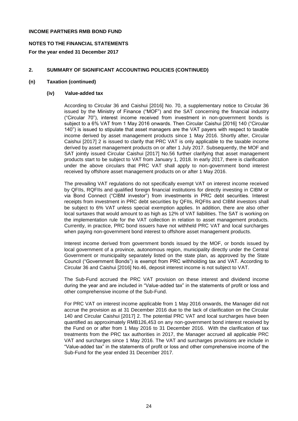## **NOTES TO THE FINANCIAL STATEMENTS**

**For the year ended 31 December 2017**

## **2. SUMMARY OF SIGNIFICANT ACCOUNTING POLICIES (CONTINUED)**

## **(n) Taxation (continued)**

## **(iv) Value-added tax**

According to Circular 36 and Caishui [2016] No. 70, a supplementary notice to Circular 36 issued by the Ministry of Finance ("MOF") and the SAT concerning the financial industry ("Circular 70"), interest income received from investment in non-government bonds is subject to a 6% VAT from 1 May 2016 onwards. Then Circular Caishui [2016] 140 ("Circular 140") is issued to stipulate that asset managers are the VAT payers with respect to taxable income derived by asset management products since 1 May 2016. Shortly after, Circular Caishui [2017] 2 is issued to clarify that PRC VAT is only applicable to the taxable income derived by asset management products on or after 1 July 2017. Subsequently, the MOF and SAT jointly issued Circular Caishui [2017] No.56 further clarifying that asset management products start to be subject to VAT from January 1, 2018. In early 2017, there is clarification under the above circulars that PRC VAT shall apply to non-government bond interest received by offshore asset management products on or after 1 May 2016.

The prevailing VAT regulations do not specifically exempt VAT on interest income received by QFIIs, RQFIIs and qualified foreign financial institutions for directly investing in CIBM or via Bond Connect ("CIBM investor") from investments in PRC debt securities. Interest receipts from investment in PRC debt securities by QFIIs, RQFIIs and CIBM investors shall be subject to 6% VAT unless special exemption applies. In addition, there are also other local surtaxes that would amount to as high as 12% of VAT liabilities. The SAT is working on the implementation rule for the VAT collection in relation to asset management products. Currently, in practice, PRC bond issuers have not withheld PRC VAT and local surcharges when paying non-government bond interest to offshore asset management products.

Interest income derived from government bonds issued by the MOF, or bonds issued by local government of a province, autonomous region, municipality directly under the Central Government or municipality separately listed on the state plan, as approved by the State Council ("Government Bonds") is exempt from PRC withholding tax and VAT. According to Circular 36 and Caishui [2016] No.46, deposit interest income is not subject to VAT.

The Sub-Fund accrued the PRC VAT provision on these interest and dividend income during the year and are included in "Value-added tax" in the statements of profit or loss and other comprehensive income of the Sub-Fund.

For PRC VAT on interest income applicable from 1 May 2016 onwards, the Manager did not accrue the provision as at 31 December 2016 due to the lack of clarification on the Circular 140 and Circular Caishui [2017] 2. The potential PRC VAT and local surcharges have been quantified as approximately RMB126,453 on any non-government bond interest received by the Fund on or after from 1 May 2016 to 31 December 2016. With the clarification of tax treatments from the PRC tax authorities in 2017, the Manager accrued all applicable PRC VAT and surcharges since 1 May 2016. The VAT and surcharges provisions are include in "Value-added tax" in the statements of profit or loss and other comprehensive income of the Sub-Fund for the year ended 31 December 2017.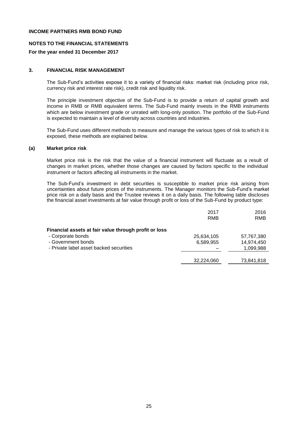## **NOTES TO THE FINANCIAL STATEMENTS**

## **For the year ended 31 December 2017**

## **3. FINANCIAL RISK MANAGEMENT**

The Sub-Fund's activities expose it to a variety of financial risks: market risk (including price risk, currency risk and interest rate risk), credit risk and liquidity risk.

The principle investment objective of the Sub-Fund is to provide a return of capital growth and income in RMB or RMB equivalent terms. The Sub-Fund mainly invests in the RMB instruments which are below investment grade or unrated with long-only position. The portfolio of the Sub-Fund is expected to maintain a level of diversity across countries and industries.

The Sub-Fund uses different methods to measure and manage the various types of risk to which it is exposed, these methods are explained below.

#### **(a) Market price risk**

Market price risk is the risk that the value of a financial instrument will fluctuate as a result of changes in market prices, whether those changes are caused by factors specific to the individual instrument or factors affecting all instruments in the market.

The Sub-Fund's investment in debt securities is susceptible to market price risk arising from uncertainties about future prices of the instruments. The Manager monitors the Sub-Fund's market price risk on a daily basis and the Trustee reviews it on a daily basis. The following table discloses the financial asset investments at fair value through profit or loss of the Sub-Fund by product type:

|                                                       | 2017<br>RMB | 2016<br>RMB |
|-------------------------------------------------------|-------------|-------------|
| Financial assets at fair value through profit or loss |             |             |
| - Corporate bonds                                     | 25,634,105  | 57,767,380  |
| - Government bonds                                    | 6,589,955   | 14,974,450  |
| - Private label asset backed securities               |             | 1,099,988   |
|                                                       |             |             |
|                                                       | 32,224,060  | 73,841,818  |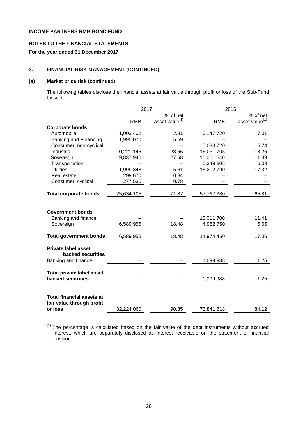# **NOTES TO THE FINANCIAL STATEMENTS**

## **For the year ended 31 December 2017**

## **3. FINANCIAL RISK MANAGEMENT (CONTINUED)**

#### **(a) Market price risk (continued)**

The following tables disclose the financial assets at fair value through profit or loss of the Sub-Fund by sector:

|                                                                          | 2017       | 2016                       |                         |                            |  |
|--------------------------------------------------------------------------|------------|----------------------------|-------------------------|----------------------------|--|
|                                                                          |            | % of net                   |                         | % of net                   |  |
|                                                                          | <b>RMB</b> | asset value <sup>(1)</sup> | <b>RMB</b>              | asset value <sup>(1)</sup> |  |
| <b>Corporate bonds</b>                                                   |            |                            |                         |                            |  |
| Automobile                                                               | 1,003,402  | 2.81                       | 6,147,720               | 7.01                       |  |
| Banking and Financing                                                    | 1,995,070  | 5.59                       |                         |                            |  |
| Consumer, non-cyclical                                                   |            |                            | 5,033,720               | 5.74                       |  |
| Industrial                                                               | 10,221,145 | 28.66                      | 16,031,705              | 18.26                      |  |
| Sovereign                                                                | 9,837,940  | 27.58                      | 10,001,640              | 11.39                      |  |
| Transportation                                                           |            |                            | 5,349,805               | 6.09                       |  |
| <b>Utilities</b>                                                         | 1,999,348  | 5.61                       | 15,202,790              | 17.32                      |  |
| Real estate                                                              | 299,670    | 0.84                       |                         |                            |  |
| Consumer, cyclical                                                       | 277,530    | 0.78                       |                         |                            |  |
| <b>Total corporate bonds</b>                                             | 25,634,105 | 71.87                      | 57,767,380              | 65.81                      |  |
| <b>Government bonds</b><br>Banking and finance<br>Sovereign              | 6,589,955  | 18.48                      | 10,011,700<br>4,962,750 | 11.41<br>5.65              |  |
| <b>Total government bonds</b>                                            | 6,589,955  | 18.48                      | 14,974,450              | 17.06                      |  |
| <b>Private label asset</b><br>backed securities<br>Banking and finance   |            |                            | 1,099,988               | 1.25                       |  |
| <b>Total private label asset</b><br>backed securities                    |            |                            | 1,099,988               | 1.25                       |  |
| <b>Total financial assets at</b><br>fair value through profit<br>or loss | 32,224,060 | 90.35                      | 73,841,818              | 84.12                      |  |

(1) The percentage is calculated based on the fair value of the debt instruments without accrued interest, which are separately disclosed as interest receivable on the statement of financial position.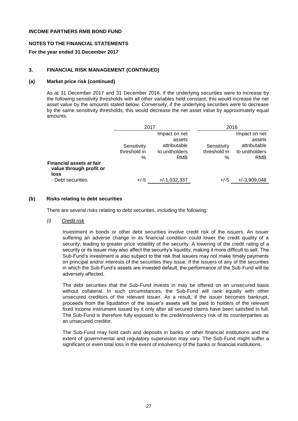## **NOTES TO THE FINANCIAL STATEMENTS**

## **For the year ended 31 December 2017**

## **3. FINANCIAL RISK MANAGEMENT (CONTINUED)**

#### **(a) Market price risk (continued)**

As at 31 December 2017 and 31 December 2016, if the underlying securities were to increase by the following sensitivity thresholds with all other variables held constant, this would increase the net asset value by the amounts stated below. Conversely, if the underlying securities were to decrease by the same sensitivity thresholds, this would decrease the net asset value by approximately equal amounts.

|                                                                                         |                                     | 2017                                                             |                                     | 2016                                                             |
|-----------------------------------------------------------------------------------------|-------------------------------------|------------------------------------------------------------------|-------------------------------------|------------------------------------------------------------------|
|                                                                                         | Sensitivity<br>threshold in<br>$\%$ | Impact on net<br>assets<br>attributable<br>to unitholders<br>RMB | Sensitivity<br>threshold in<br>$\%$ | Impact on net<br>assets<br>attributable<br>to unitholders<br>RMB |
| <b>Financial assets at fair</b><br>value through profit or<br>loss<br>- Debt securities | $+/-5$                              | $+/-1,032,337$                                                   | $+/-5$                              | $+/-3,909,048$                                                   |

## **(b) Risks relating to debt securities**

There are several risks relating to debt securities, including the following:

*(i) Credit risk*

Investment in bonds or other debt securities involve credit risk of the issuers. An issuer suffering an adverse change in its financial condition could lower the credit quality of a security, leading to greater price volatility of the security. A lowering of the credit rating of a security or its issuer may also affect the security's liquidity, making it more difficult to sell. The Sub-Fund's investment is also subject to the risk that issuers may not make timely payments on principal and/or interests of the securities they issue. If the issuers of any of the securities in which the Sub-Fund's assets are invested default, the performance of the Sub-Fund will be adversely affected.

The debt securities that the Sub-Fund invests in may be offered on an unsecured basis without collateral. In such circumstances, the Sub-Fund will rank equally with other unsecured creditors of the relevant issuer. As a result, if the issuer becomes bankrupt, proceeds from the liquidation of the issuer's assets will be paid to holders of the relevant fixed income instrument issued by it only after all secured claims have been satisfied in full. The Sub-Fund is therefore fully exposed to the credit/insolvency risk of its counterparties as an unsecured creditor.

The Sub-Fund may hold cash and deposits in banks or other financial institutions and the extent of governmental and regulatory supervision may vary. The Sub-Fund might suffer a significant or even total loss in the event of insolvency of the banks or financial institutions.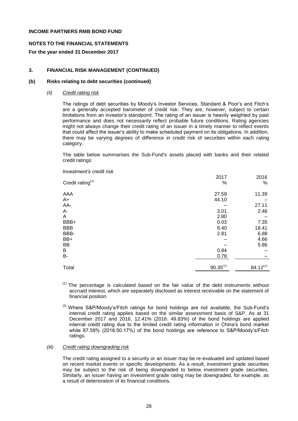## **NOTES TO THE FINANCIAL STATEMENTS**

**For the year ended 31 December 2017**

## **3. FINANCIAL RISK MANAGEMENT (CONTINUED)**

#### **(b) Risks relating to debt securities (continued)**

*(ii) Credit rating risk*

The ratings of debt securities by Moody's Investor Services, Standard & Poor's and Fitch's are a generally accepted barometer of credit risk. They are, however, subject to certain limitations from an investor's standpoint. The rating of an issuer is heavily weighted by past performance and does not necessarily reflect probable future conditions. Rating agencies might not always change their credit rating of an issuer in a timely manner to reflect events that could affect the issuer's ability to make scheduled payment on its obligations. In addition, there may be varying degrees of difference in credit risk of securities within each rating category.

The table below summarises the Sub-Fund's assets placed with banks and their related credit ratings:

| Investment's credit risk     |               |               |
|------------------------------|---------------|---------------|
|                              | 2017          | 2016          |
| Credit rating <sup>(2)</sup> | %             | %             |
| AAA                          | 27.58         | 11.39         |
| A+                           | 44.10         |               |
| AA-                          |               | 27.11         |
| А-                           | 3.01          | 2.46          |
| Α                            | 2.80          |               |
| BBB+                         | 0.03          | 7.35          |
| <b>BBB</b>                   | 8.40          | 18.41         |
| BBB-                         | 2.81          | 6.88          |
| BB+                          |               | 4.66          |
| BB                           |               | 5.86          |
| В                            | 0.84          |               |
| B-                           | 0.78          |               |
| Total                        | $90.35^{(1)}$ | $84.12^{(1)}$ |

 $<sup>(1)</sup>$  The percentage is calculated based on the fair value of the debt instruments without</sup> accrued interest, which are separately disclosed as interest receivable on the statement of financial position.

 $(2)$  Where S&P/Moody's/Fitch ratings for bond holdings are not available, the Sub-Fund's internal credit rating applies based on the similar assessment basis of S&P. As at 31 December 2017 and 2016, 12.41% (2016: 49.83%) of the bond holdings are applied internal credit rating due to the limited credit rating information in China's bond market while 87.59% (2016:50.17%) of the bond holdings are reference to S&P/Moody's/Fitch ratings.

#### *(iii) Credit rating downgrading risk*

The credit rating assigned to a security or an issuer may be re-evaluated and updated based on recent market events or specific developments. As a result, investment grade securities may be subject to the risk of being downgraded to below investment grade securities. Similarly, an issuer having an investment grade rating may be downgraded, for example, as a result of deterioration of its financial conditions.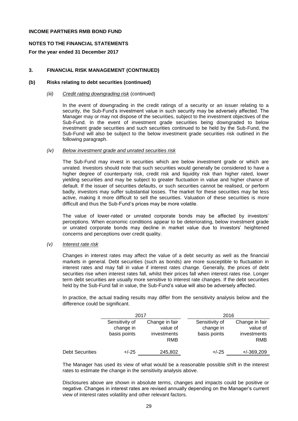## **NOTES TO THE FINANCIAL STATEMENTS**

## **For the year ended 31 December 2017**

## **3. FINANCIAL RISK MANAGEMENT (CONTINUED)**

#### **(b) Risks relating to debt securities (continued)**

#### *(iii) Credit rating downgrading risk* (continued)

In the event of downgrading in the credit ratings of a security or an issuer relating to a security, the Sub-Fund's investment value in such security may be adversely affected. The Manager may or may not dispose of the securities, subject to the investment objectives of the Sub-Fund. In the event of investment grade securities being downgraded to below investment grade securities and such securities continued to be held by the Sub-Fund, the Sub-Fund will also be subject to the below investment grade securities risk outlined in the following paragraph.

#### *(iv) Below investment grade and unrated securities risk*

The Sub-Fund may invest in securities which are below investment grade or which are unrated. Investors should note that such securities would generally be considered to have a higher degree of counterparty risk, credit risk and liquidity risk than higher rated, lower yielding securities and may be subject to greater fluctuation in value and higher chance of default. If the issuer of securities defaults, or such securities cannot be realised, or perform badly, investors may suffer substantial losses. The market for these securities may be less active, making it more difficult to sell the securities. Valuation of these securities is more difficult and thus the Sub-Fund's prices may be more volatile.

The value of lower-rated or unrated corporate bonds may be affected by investors' perceptions. When economic conditions appear to be deteriorating, below investment grade or unrated corporate bonds may decline in market value due to investors' heightened concerns and perceptions over credit quality.

#### *(v) Interest rate risk*

Changes in interest rates may affect the value of a debt security as well as the financial markets in general. Debt securities (such as bonds) are more susceptible to fluctuation in interest rates and may fall in value if interest rates change. Generally, the prices of debt securities rise when interest rates fall, whilst their prices fall when interest rates rise. Longer term debt securities are usually more sensitive to interest rate changes. If the debt securities held by the Sub-Fund fall in value, the Sub-Fund's value will also be adversely affected.

In practice, the actual trading results may differ from the sensitivity analysis below and the difference could be significant.

|                        | 2017                                        |                                                  | 2016                                        |                                                  |  |
|------------------------|---------------------------------------------|--------------------------------------------------|---------------------------------------------|--------------------------------------------------|--|
|                        | Sensitivity of<br>change in<br>basis points | Change in fair<br>value of<br>investments<br>RMB | Sensitivity of<br>change in<br>basis points | Change in fair<br>value of<br>investments<br>RMB |  |
| <b>Debt Securities</b> | $+/-25$                                     | 245,802                                          | $+/-25$                                     | $+/-369,209$                                     |  |

The Manager has used its view of what would be a reasonable possible shift in the interest rates to estimate the change in the sensitivity analysis above.

Disclosures above are shown in absolute terms, changes and impacts could be positive or negative. Changes in interest rates are revised annually depending on the Manager's current view of interest rates volatility and other relevant factors.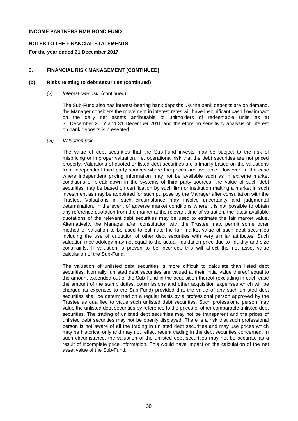## **NOTES TO THE FINANCIAL STATEMENTS**

## **For the year ended 31 December 2017**

## **3. FINANCIAL RISK MANAGEMENT (CONTINUED)**

#### **(b) Risks relating to debt securities (continued)**

#### *(v) Interest rate risk* (continued)

The Sub-Fund also has interest-bearing bank deposits. As the bank deposits are on demand, the Manager considers the movement in interest rates will have insignificant cash flow impact on the daily net assets attributable to unitholders of redeemable units as at 31 December 2017 and 31 December 2016 and therefore no sensitivity analysis of interest on bank deposits is presented.

#### *(vi) Valuation risk*

The value of debt securities that the Sub-Fund invests may be subject to the risk of mispricing or improper valuation, i.e. operational risk that the debt securities are not priced properly. Valuations of quoted or listed debt securities are primarily based on the valuations from independent third party sources where the prices are available. However, in the case where independent pricing information may not be available such as in extreme market conditions or break down in the systems of third party sources, the value of such debt securities may be based on certification by such firm or institution making a market in such investment as may be appointed for such purpose by the Manager after consultation with the Trustee. Valuations in such circumstance may involve uncertainty and judgmental determination. In the event of adverse market conditions where it is not possible to obtain any reference quotation from the market at the relevant time of valuation, the latest available quotations of the relevant debt securities may be used to estimate the fair market value. Alternatively, the Manager after consultation with the Trustee may, permit some other method of valuation to be used to estimate the fair market value of such debt securities including the use of quotation of other debt securities with very similar attributes. Such valuation methodology may not equal to the actual liquidation price due to liquidity and size constraints. If valuation is proven to be incorrect, this will affect the net asset value calculation of the Sub-Fund.

The valuation of unlisted debt securities is more difficult to calculate than listed debt securities. Normally, unlisted debt securities are valued at their initial value thereof equal to the amount expended out of the Sub-Fund in the acquisition thereof (excluding in each case the amount of the stamp duties, commissions and other acquisition expenses which will be charged as expenses to the Sub-Fund) provided that the value of any such unlisted debt securities shall be determined on a regular basis by a professional person approved by the Trustee as qualified to value such unlisted debt securities. Such professional person may value the unlisted debt securities by reference to the prices of other comparable unlisted debt securities. The trading of unlisted debt securities may not be transparent and the prices of unlisted debt securities may not be openly displayed. There is a risk that such professional person is not aware of all the trading in unlisted debt securities and may use prices which may be historical only and may not reflect recent trading in the debt securities concerned. In such circumstance, the valuation of the unlisted debt securities may not be accurate as a result of incomplete price information. This would have impact on the calculation of the net asset value of the Sub-Fund.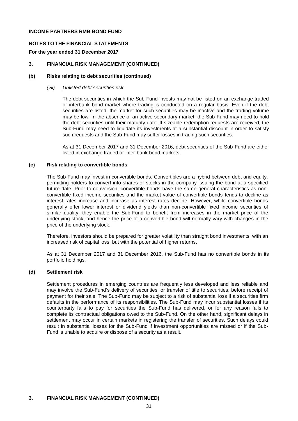## **NOTES TO THE FINANCIAL STATEMENTS**

## **For the year ended 31 December 2017**

## **3. FINANCIAL RISK MANAGEMENT (CONTINUED)**

## **(b) Risks relating to debt securities (continued)**

#### *(vii) Unlisted debt securities risk*

The debt securities in which the Sub-Fund invests may not be listed on an exchange traded or interbank bond market where trading is conducted on a regular basis. Even if the debt securities are listed, the market for such securities may be inactive and the trading volume may be low. In the absence of an active secondary market, the Sub-Fund may need to hold the debt securities until their maturity date. If sizeable redemption requests are received, the Sub-Fund may need to liquidate its investments at a substantial discount in order to satisfy such requests and the Sub-Fund may suffer losses in trading such securities.

As at 31 December 2017 and 31 December 2016, debt securities of the Sub-Fund are either listed in exchange traded or inter-bank bond markets.

#### **(c) Risk relating to convertible bonds**

The Sub-Fund may invest in convertible bonds. Convertibles are a hybrid between debt and equity, permitting holders to convert into shares or stocks in the company issuing the bond at a specified future date. Prior to conversion, convertible bonds have the same general characteristics as nonconvertible fixed income securities and the market value of convertible bonds tends to decline as interest rates increase and increase as interest rates decline. However, while convertible bonds generally offer lower interest or dividend yields than non-convertible fixed income securities of similar quality, they enable the Sub-Fund to benefit from increases in the market price of the underlying stock, and hence the price of a convertible bond will normally vary with changes in the price of the underlying stock.

Therefore, investors should be prepared for greater volatility than straight bond investments, with an increased risk of capital loss, but with the potential of higher returns.

As at 31 December 2017 and 31 December 2016, the Sub-Fund has no convertible bonds in its portfolio holdings.

## **(d) Settlement risk**

Settlement procedures in emerging countries are frequently less developed and less reliable and may involve the Sub-Fund's delivery of securities, or transfer of title to securities, before receipt of payment for their sale. The Sub-Fund may be subject to a risk of substantial loss if a securities firm defaults in the performance of its responsibilities. The Sub-Fund may incur substantial losses if its counterparty fails to pay for securities the Sub-Fund has delivered, or for any reason fails to complete its contractual obligations owed to the Sub-Fund. On the other hand, significant delays in settlement may occur in certain markets in registering the transfer of securities. Such delays could result in substantial losses for the Sub-Fund if investment opportunities are missed or if the Sub-Fund is unable to acquire or dispose of a security as a result.

## **3. FINANCIAL RISK MANAGEMENT (CONTINUED)**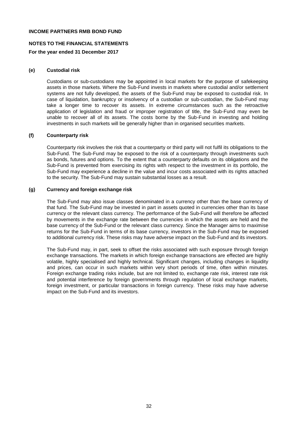## **NOTES TO THE FINANCIAL STATEMENTS**

#### **For the year ended 31 December 2017**

#### **(e) Custodial risk**

Custodians or sub-custodians may be appointed in local markets for the purpose of safekeeping assets in those markets. Where the Sub-Fund invests in markets where custodial and/or settlement systems are not fully developed, the assets of the Sub-Fund may be exposed to custodial risk. In case of liquidation, bankruptcy or insolvency of a custodian or sub-custodian, the Sub-Fund may take a longer time to recover its assets. In extreme circumstances such as the retroactive application of legislation and fraud or improper registration of title, the Sub-Fund may even be unable to recover all of its assets. The costs borne by the Sub-Fund in investing and holding investments in such markets will be generally higher than in organised securities markets.

#### **(f) Counterparty risk**

Counterparty risk involves the risk that a counterparty or third party will not fulfil its obligations to the Sub-Fund. The Sub-Fund may be exposed to the risk of a counterparty through investments such as bonds, futures and options. To the extent that a counterparty defaults on its obligations and the Sub-Fund is prevented from exercising its rights with respect to the investment in its portfolio, the Sub-Fund may experience a decline in the value and incur costs associated with its rights attached to the security. The Sub-Fund may sustain substantial losses as a result.

#### **(g) Currency and foreign exchange risk**

The Sub-Fund may also issue classes denominated in a currency other than the base currency of that fund. The Sub-Fund may be invested in part in assets quoted in currencies other than its base currency or the relevant class currency. The performance of the Sub-Fund will therefore be affected by movements in the exchange rate between the currencies in which the assets are held and the base currency of the Sub-Fund or the relevant class currency. Since the Manager aims to maximise returns for the Sub-Fund in terms of its base currency, investors in the Sub-Fund may be exposed to additional currency risk. These risks may have adverse impact on the Sub-Fund and its investors.

The Sub-Fund may, in part, seek to offset the risks associated with such exposure through foreign exchange transactions. The markets in which foreign exchange transactions are effected are highly volatile, highly specialised and highly technical. Significant changes, including changes in liquidity and prices, can occur in such markets within very short periods of time, often within minutes. Foreign exchange trading risks include, but are not limited to, exchange rate risk, interest rate risk and potential interference by foreign governments through regulation of local exchange markets, foreign investment, or particular transactions in foreign currency. These risks may have adverse impact on the Sub-Fund and its investors.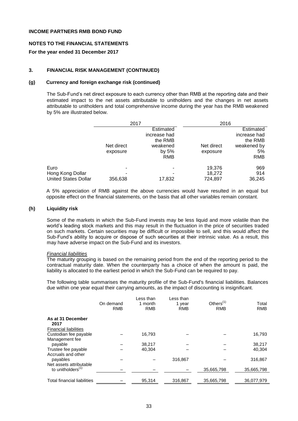#### **NOTES TO THE FINANCIAL STATEMENTS**

#### **For the year ended 31 December 2017**

#### **3. FINANCIAL RISK MANAGEMENT (CONTINUED)**

#### **(g) Currency and foreign exchange risk (continued)**

The Sub-Fund's net direct exposure to each currency other than RMB at the reporting date and their estimated impact to the net assets attributable to unitholders and the changes in net assets attributable to unitholders and total comprehensive income during the year has the RMB weakened by 5% are illustrated below.

|                                                 | 2017       |                                                  | 2016       |                                                     |  |
|-------------------------------------------------|------------|--------------------------------------------------|------------|-----------------------------------------------------|--|
|                                                 | Net direct | Estimated<br>increase had<br>the RMB<br>weakened | Net direct | Estimated<br>increase had<br>the RMB<br>weakened by |  |
|                                                 | exposure   | by 5%<br>RMB                                     | exposure   | 5%<br>RMB                                           |  |
| Euro                                            |            |                                                  | 19.376     | 969                                                 |  |
| Hong Kong Dollar<br><b>United States Dollar</b> |            |                                                  | 18,272     | 914                                                 |  |
|                                                 | 356,638    | 17,832                                           | 724,897    | 36,245                                              |  |

A 5% appreciation of RMB against the above currencies would have resulted in an equal but opposite effect on the financial statements, on the basis that all other variables remain constant.

#### **(h) Liquidity risk**

Some of the markets in which the Sub-Fund invests may be less liquid and more volatile than the world's leading stock markets and this may result in the fluctuation in the price of securities traded on such markets. Certain securities may be difficult or impossible to sell, and this would affect the Sub-Fund's ability to acquire or dispose of such securities at their intrinsic value. As a result, this may have adverse impact on the Sub-Fund and its investors.

#### *Financial liabilities*

The maturity grouping is based on the remaining period from the end of the reporting period to the contractual maturity date. When the counterparty has a choice of when the amount is paid, the liability is allocated to the earliest period in which the Sub-Fund can be required to pay.

The following table summarises the maturity profile of the Sub-Fund's financial liabilities. Balances due within one year equal their carrying amounts, as the impact of discounting is insignificant.

|                                                           | On demand<br><b>RMB</b> | Less than<br>1 month<br><b>RMB</b> | Less than<br>1 year<br><b>RMB</b> | Others $(1)$<br><b>RMB</b> | Total<br><b>RMB</b> |
|-----------------------------------------------------------|-------------------------|------------------------------------|-----------------------------------|----------------------------|---------------------|
| As at 31 December<br>2017<br><b>Financial liabilities</b> |                         |                                    |                                   |                            |                     |
| Custodian fee payable<br>Management fee                   |                         | 16,793                             |                                   |                            | 16,793              |
| payable                                                   |                         | 38,217                             |                                   |                            | 38,217              |
| Trustee fee payable<br>Accruals and other                 |                         | 40,304                             |                                   |                            | 40,304              |
| payables                                                  |                         |                                    | 316.867                           |                            | 316,867             |
| Net assets attributable<br>to unitholders <sup>(1)</sup>  |                         |                                    |                                   | 35,665,798                 | 35,665,798          |
| <b>Total financial liabilities</b>                        |                         | 95,314                             | 316,867                           | 35,665,798                 | 36,077,979          |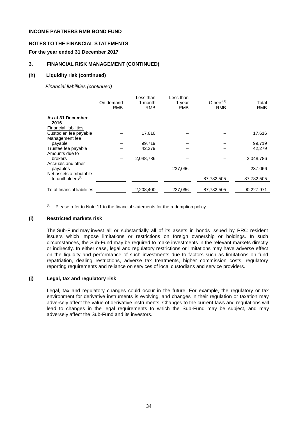## **NOTES TO THE FINANCIAL STATEMENTS**

## **For the year ended 31 December 2017**

## **3. FINANCIAL RISK MANAGEMENT (CONTINUED)**

#### **(h) Liquidity risk (continued)**

#### *Financial liabilities (continued)*

|                                                           | On demand<br><b>RMB</b> | Less than<br>1 month<br><b>RMB</b> | Less than<br>1 year<br><b>RMB</b> | Others $(1)$<br><b>RMB</b> | Total<br><b>RMB</b> |
|-----------------------------------------------------------|-------------------------|------------------------------------|-----------------------------------|----------------------------|---------------------|
| As at 31 December<br>2016<br><b>Financial liabilities</b> |                         |                                    |                                   |                            |                     |
| Custodian fee payable                                     |                         | 17,616                             |                                   |                            | 17,616              |
| Management fee<br>payable                                 |                         | 99.719                             |                                   |                            | 99,719              |
| Trustee fee payable<br>Amounts due to                     |                         | 42,279                             |                                   |                            | 42,279              |
| <b>brokers</b>                                            |                         | 2,048,786                          |                                   |                            | 2,048,786           |
| Accruals and other<br>payables<br>Net assets attributable |                         |                                    | 237,066                           |                            | 237,066             |
| to unitholders <sup>(1)</sup>                             |                         |                                    |                                   | 87,782,505                 | 87,782,505          |
| Total financial liabilities                               |                         | 2,208,400                          | 237,066                           | 87,782,505                 | 90,227,971          |

(1) Please refer to Note 11 to the financial statements for the redemption policy.

## **(i) Restricted markets risk**

The Sub-Fund may invest all or substantially all of its assets in bonds issued by PRC resident issuers which impose limitations or restrictions on foreign ownership or holdings. In such circumstances, the Sub-Fund may be required to make investments in the relevant markets directly or indirectly. In either case, legal and regulatory restrictions or limitations may have adverse effect on the liquidity and performance of such investments due to factors such as limitations on fund repatriation, dealing restrictions, adverse tax treatments, higher commission costs, regulatory reporting requirements and reliance on services of local custodians and service providers.

## **(j) Legal, tax and regulatory risk**

Legal, tax and regulatory changes could occur in the future. For example, the regulatory or tax environment for derivative instruments is evolving, and changes in their regulation or taxation may adversely affect the value of derivative instruments. Changes to the current laws and regulations will lead to changes in the legal requirements to which the Sub-Fund may be subject, and may adversely affect the Sub-Fund and its investors.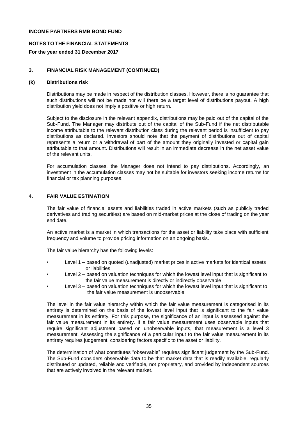## **NOTES TO THE FINANCIAL STATEMENTS**

## **For the year ended 31 December 2017**

## **3. FINANCIAL RISK MANAGEMENT (CONTINUED)**

#### **(k) Distributions risk**

Distributions may be made in respect of the distribution classes. However, there is no guarantee that such distributions will not be made nor will there be a target level of distributions payout. A high distribution yield does not imply a positive or high return.

Subject to the disclosure in the relevant appendix, distributions may be paid out of the capital of the Sub-Fund. The Manager may distribute out of the capital of the Sub-Fund if the net distributable income attributable to the relevant distribution class during the relevant period is insufficient to pay distributions as declared. Investors should note that the payment of distributions out of capital represents a return or a withdrawal of part of the amount they originally invested or capital gain attributable to that amount. Distributions will result in an immediate decrease in the net asset value of the relevant units.

For accumulation classes, the Manager does not intend to pay distributions. Accordingly, an investment in the accumulation classes may not be suitable for investors seeking income returns for financial or tax planning purposes.

## **4. FAIR VALUE ESTIMATION**

The fair value of financial assets and liabilities traded in active markets (such as publicly traded derivatives and trading securities) are based on mid-market prices at the close of trading on the year end date.

An active market is a market in which transactions for the asset or liability take place with sufficient frequency and volume to provide pricing information on an ongoing basis.

The fair value hierarchy has the following levels:

- Level 1 based on quoted (unadjusted) market prices in active markets for identical assets or liabilities
- Level 2 based on valuation techniques for which the lowest level input that is significant to the fair value measurement is directly or indirectly observable
- Level 3 based on valuation techniques for which the lowest level input that is significant to the fair value measurement is unobservable

The level in the fair value hierarchy within which the fair value measurement is categorised in its entirety is determined on the basis of the lowest level input that is significant to the fair value measurement in its entirety. For this purpose, the significance of an input is assessed against the fair value measurement in its entirety. If a fair value measurement uses observable inputs that require significant adjustment based on unobservable inputs, that measurement is a level 3 measurement. Assessing the significance of a particular input to the fair value measurement in its entirety requires judgement, considering factors specific to the asset or liability.

The determination of what constitutes "observable" requires significant judgement by the Sub-Fund. The Sub-Fund considers observable data to be that market data that is readily available, regularly distributed or updated, reliable and verifiable, not proprietary, and provided by independent sources that are actively involved in the relevant market.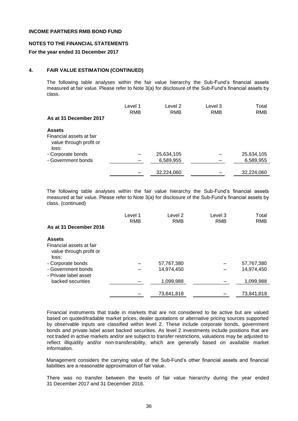#### **NOTES TO THE FINANCIAL STATEMENTS**

#### **For the year ended 31 December 2017**

#### **4. FAIR VALUE ESTIMATION (CONTINUED)**

The following table analyses within the fair value hierarchy the Sub-Fund's financial assets measured at fair value. Please refer to Note 3(a) for disclosure of the Sub-Fund's financial assets by class.

|                                                                               | Level 1<br><b>RMB</b> | Level 2<br><b>RMB</b>   | Level 3<br><b>RMB</b> | Total<br><b>RMB</b>     |
|-------------------------------------------------------------------------------|-----------------------|-------------------------|-----------------------|-------------------------|
| As at 31 December 2017                                                        |                       |                         |                       |                         |
| <b>Assets</b><br>Financial assets at fair<br>value through profit or<br>loss: |                       |                         |                       |                         |
| - Corporate bonds<br>- Government bonds                                       |                       | 25,634,105<br>6,589,955 |                       | 25,634,105<br>6,589,955 |
|                                                                               |                       | 32,224,060              |                       | 32,224,060              |

The following table analyses within the fair value hierarchy the Sub-Fund's financial assets measured at fair value. Please refer to Note 3(a) for disclosure of the Sub-Fund's financial assets by class. (continued)

|                                                              | Level 1<br><b>RMB</b> | Level 2<br><b>RMB</b> | Level 3<br><b>RMB</b> | Total<br>RMB |
|--------------------------------------------------------------|-----------------------|-----------------------|-----------------------|--------------|
| As at 31 December 2016                                       |                       |                       |                       |              |
| <b>Assets</b>                                                |                       |                       |                       |              |
| Financial assets at fair<br>value through profit or<br>loss: |                       |                       |                       |              |
| - Corporate bonds                                            |                       | 57,767,380            |                       | 57,767,380   |
| - Government bonds<br>- Private label asset                  |                       | 14,974,450            |                       | 14,974,450   |
| backed securities                                            |                       | 1,099,988             |                       | 1,099,988    |
|                                                              |                       | 73,841,818            |                       | 73,841,818   |

Financial instruments that trade in markets that are not considered to be active but are valued based on quoted/tradable market prices, dealer quotations or alternative pricing sources supported by observable inputs are classified within level 2. These include corporate bonds, government bonds and private label asset backed securities. As level 2 investments include positions that are not traded in active markets and/or are subject to transfer restrictions, valuations may be adjusted to reflect illiquidity and/or non-transferability, which are generally based on available market information.

Management considers the carrying value of the Sub-Fund's other financial assets and financial liabilities are a reasonable approximation of fair value.

There was no transfer between the levels of fair value hierarchy during the year ended 31 December 2017 and 31 December 2016.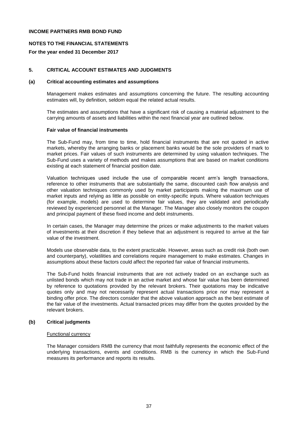## **NOTES TO THE FINANCIAL STATEMENTS**

## **For the year ended 31 December 2017**

## **5. CRITICAL ACCOUNT ESTIMATES AND JUDGMENTS**

#### **(a) Critical accounting estimates and assumptions**

Management makes estimates and assumptions concerning the future. The resulting accounting estimates will, by definition, seldom equal the related actual results.

The estimates and assumptions that have a significant risk of causing a material adjustment to the carrying amounts of assets and liabilities within the next financial year are outlined below.

#### **Fair value of financial instruments**

The Sub-Fund may, from time to time, hold financial instruments that are not quoted in active markets, whereby the arranging banks or placement banks would be the sole providers of mark to market prices. Fair values of such instruments are determined by using valuation techniques. The Sub-Fund uses a variety of methods and makes assumptions that are based on market conditions existing at each statement of financial position date.

Valuation techniques used include the use of comparable recent arm's length transactions, reference to other instruments that are substantially the same, discounted cash flow analysis and other valuation techniques commonly used by market participants making the maximum use of market inputs and relying as little as possible on entity-specific inputs. Where valuation techniques (for example, models) are used to determine fair values, they are validated and periodically reviewed by experienced personnel at the Manager. The Manager also closely monitors the coupon and principal payment of these fixed income and debt instruments.

In certain cases, the Manager may determine the prices or make adjustments to the market values of investments at their discretion if they believe that an adjustment is required to arrive at the fair value of the investment.

Models use observable data, to the extent practicable. However, areas such as credit risk (both own and counterparty), volatilities and correlations require management to make estimates. Changes in assumptions about these factors could affect the reported fair value of financial instruments.

The Sub-Fund holds financial instruments that are not actively traded on an exchange such as unlisted bonds which may not trade in an active market and whose fair value has been determined by reference to quotations provided by the relevant brokers. Their quotations may be indicative quotes only and may not necessarily represent actual transactions price nor may represent a binding offer price. The directors consider that the above valuation approach as the best estimate of the fair value of the investments. Actual transacted prices may differ from the quotes provided by the relevant brokers.

#### **(b) Critical judgments**

#### Functional currency

The Manager considers RMB the currency that most faithfully represents the economic effect of the underlying transactions, events and conditions. RMB is the currency in which the Sub-Fund measures its performance and reports its results.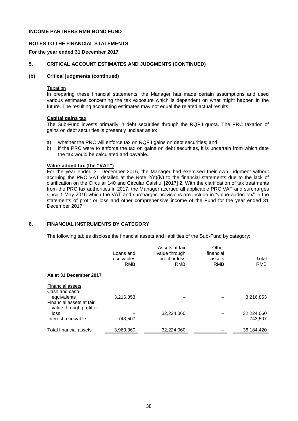## **NOTES TO THE FINANCIAL STATEMENTS**

#### **For the year ended 31 December 2017**

## **5. CRITICAL ACCOUNT ESTIMATES AND JUDGMENTS (CONTINUED)**

#### **(b) Critical judgments (continued)**

#### **Taxation**

In preparing these financial statements, the Manager has made certain assumptions and used various estimates concerning the tax exposure which is dependent on what might happen in the future. The resulting accounting estimates may not equal the related actual results.

## **Capital gains tax**

The Sub-Fund invests primarily in debt securities through the RQFII quota. The PRC taxation of gains on debt securities is presently unclear as to:

- a) whether the PRC will enforce tax on RQFII gains on debt securities; and
- b) if the PRC were to enforce the tax on gains on debt securities, it is uncertain from which date the tax would be calculated and payable.

#### **Value-added tax (the "VAT")**

For the year ended 31 December 2016, the Manager had exercised their own judgment without accruing the PRC VAT detailed at the Note 2(n)(iv) to the financial statements due to the lack of clarification on the Circular 140 and Circular Caishui [2017] 2. With the clarification of tax treatments from the PRC tax authorities in 2017, the Manager accrued all applicable PRC VAT and surcharges since 1 May 2016 which the VAT and surcharges provisions are include in "value-added tax" in the statements of profit or loss and other comprehensive income of the Fund for the year ended 31 December 2017.

## **6. FINANCIAL INSTRUMENTS BY CATEGORY**

The following tables disclose the financial assets and liabilities of the Sub-Fund by category:

|                                                             | Loans and<br>receivables<br><b>RMB</b> | Assets at fair<br>value through<br>profit or loss<br><b>RMB</b> | Other<br>financial<br>assets<br>RMB | Total<br><b>RMB</b> |
|-------------------------------------------------------------|----------------------------------------|-----------------------------------------------------------------|-------------------------------------|---------------------|
| As at 31 December 2017                                      |                                        |                                                                 |                                     |                     |
| <b>Financial assets</b><br>Cash and cash<br>equivalents     | 3,216,853                              |                                                                 |                                     | 3,216,853           |
| Financial assets at fair<br>value through profit or<br>loss |                                        | 32,224,060                                                      |                                     | 32,224,060          |
| Interest receivable                                         | 743,507                                |                                                                 |                                     | 743.507             |
| Total financial assets                                      | 3,960,360                              | 32.224.060                                                      |                                     | 36.184.420          |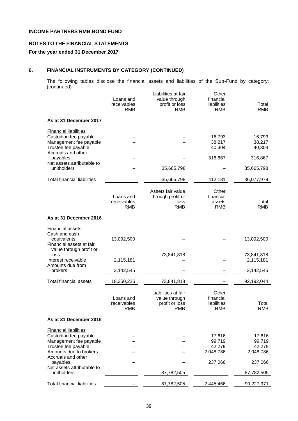# **NOTES TO THE FINANCIAL STATEMENTS**

## **For the year ended 31 December 2017**

## **6. FINANCIAL INSTRUMENTS BY CATEGORY (CONTINUED)**

The following tables disclose the financial assets and liabilities of the Sub-Fund by category: (continued)

|                                                                                                                                  | Loans and<br>receivables<br><b>RMB</b> | Liabilities at fair<br>value through<br>profit or loss<br><b>RMB</b> | Other<br>financial<br>liabilities<br><b>RMB</b> | Total<br><b>RMB</b>                     |
|----------------------------------------------------------------------------------------------------------------------------------|----------------------------------------|----------------------------------------------------------------------|-------------------------------------------------|-----------------------------------------|
| As at 31 December 2017                                                                                                           |                                        |                                                                      |                                                 |                                         |
| <b>Financial liabilities</b><br>Custodian fee payable<br>Management fee payable                                                  |                                        |                                                                      | 16,793<br>38,217                                | 16,793<br>38,217                        |
| Trustee fee payable<br>Accruals and other<br>payables                                                                            |                                        |                                                                      | 40,304<br>316,867                               | 40,304<br>316,867                       |
| Net assets attributable to<br>unitholders                                                                                        |                                        | 35,665,798                                                           |                                                 | 35,665,798                              |
| <b>Total financial liabilities</b>                                                                                               |                                        | 35,665,798                                                           | 412,181                                         | 36,077,979                              |
|                                                                                                                                  | Loans and<br>receivables<br><b>RMB</b> | Assets fair value<br>through profit or<br>loss<br><b>RMB</b>         | Other<br>financial<br>assets<br><b>RMB</b>      | Total<br><b>RMB</b>                     |
| As at 31 December 2016                                                                                                           |                                        |                                                                      |                                                 |                                         |
| <b>Financial assets</b><br>Cash and cash<br>equivalents<br>Financial assets at fair                                              | 13,092,500                             |                                                                      |                                                 | 13,092,500                              |
| value through profit or<br>loss<br>Interest receivable                                                                           | 2,115,181                              | 73,841,818                                                           |                                                 | 73,841,818<br>2,115,181                 |
| Amounts due from<br>brokers                                                                                                      | 3,142,545                              |                                                                      |                                                 | 3,142,545                               |
| <b>Total financial assets</b>                                                                                                    | 18,350,226                             | 73,841,818                                                           |                                                 | 92,192,044                              |
|                                                                                                                                  | Loans and<br>receivables<br><b>RMB</b> | Liabilities at fair<br>value through<br>profit or loss<br><b>RMB</b> | Other<br>financial<br>liabilities<br><b>RMB</b> | Total<br><b>RMB</b>                     |
| As at 31 December 2016                                                                                                           |                                        |                                                                      |                                                 |                                         |
| <b>Financial liabilities</b><br>Custodian fee payable<br>Management fee payable<br>Trustee fee payable<br>Amounts due to brokers |                                        |                                                                      | 17,616<br>99,719<br>42,279<br>2,048,786         | 17,616<br>99,719<br>42,279<br>2,048,786 |
| Accruals and other<br>payables<br>Net assets attributable to                                                                     |                                        |                                                                      | 237,066                                         | 237,066                                 |
| unitholders                                                                                                                      |                                        | 87,782,505                                                           |                                                 | 87,782,505                              |
| <b>Total financial liabilities</b>                                                                                               |                                        | 87,782,505                                                           | 2,445,466                                       | 90,227,971                              |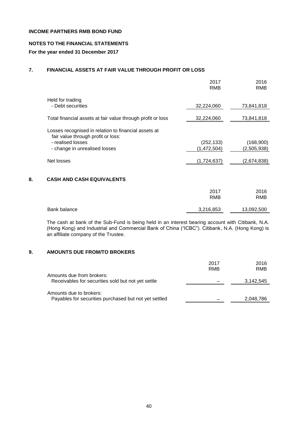## **NOTES TO THE FINANCIAL STATEMENTS**

## **For the year ended 31 December 2017**

# **7. FINANCIAL ASSETS AT FAIR VALUE THROUGH PROFIT OR LOSS**

|                                                                                                                                                  | 2017<br><b>RMB</b>        | 2016<br><b>RMB</b>       |
|--------------------------------------------------------------------------------------------------------------------------------------------------|---------------------------|--------------------------|
| Held for trading<br>- Debt securities                                                                                                            | 32,224,060                | 73,841,818               |
| Total financial assets at fair value through profit or loss                                                                                      | 32,224,060                | 73,841,818               |
| Losses recognised in relation to financial assets at<br>fair value through profit or loss:<br>- realised losses<br>- change in unrealised losses | (252, 133)<br>(1,472,504) | (168,900)<br>(2,505,938) |
| Net losses                                                                                                                                       | (1,724,637)               | (2,674,838)              |
| <b>CASH AND CASH EQUIVALENTS</b><br>8.                                                                                                           |                           |                          |

|              | 2017<br>RMB | 2016<br>RMB |
|--------------|-------------|-------------|
| Bank balance | 3,216,853   | 13,092,500  |
|              |             |             |

The cash at bank of the Sub-Fund is being held in an interest bearing account with Citibank, N.A. (Hong Kong) and Industrial and Commercial Bank of China ("ICBC"). Citibank, N.A. (Hong Kong) is an affiliate company of the Trustee.

## **9. AMOUNTS DUE FROM/TO BROKERS**

|                                                                                 | 2017<br>RMB | 2016<br>RMB |
|---------------------------------------------------------------------------------|-------------|-------------|
| Amounts due from brokers:<br>Receivables for securities sold but not yet settle |             | 3,142,545   |
| Amounts due to brokers:                                                         |             |             |
| Payables for securities purchased but not yet settled                           |             | 2,048,786   |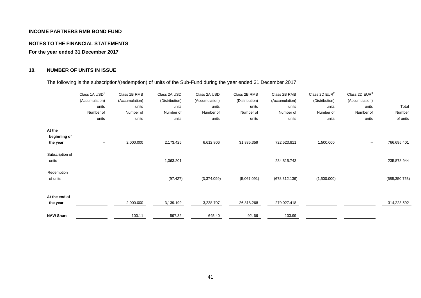## **NOTES TO THE FINANCIAL STATEMENTS**

**For the year ended 31 December 2017**

# **10. NUMBER OF UNITS IN ISSUE**

The following is the subscription/(redemption) of units of the Sub-Fund during the year ended 31 December 2017:

|                                    | Class 1A USD <sup>1</sup><br>(Accumulation)<br>units<br>Number of<br>units | Class 1B RMB<br>(Accumulation)<br>units<br>Number of<br>units | Class 2A USD<br>(Distribution)<br>units<br>Number of<br>units | Class 2A USD<br>(Accumulation)<br>units<br>Number of<br>units | Class 2B RMB<br>(Distribution)<br>units<br>Number of<br>units | Class 2B RMB<br>(Accumulation)<br>units<br>Number of<br>units | Class 2D $EUR2$<br>(Distribution)<br>units<br>Number of<br>units | Class 2D $EUR3$<br>(Accumulation)<br>units<br>Number of<br>units | Total<br>Number<br>of units |
|------------------------------------|----------------------------------------------------------------------------|---------------------------------------------------------------|---------------------------------------------------------------|---------------------------------------------------------------|---------------------------------------------------------------|---------------------------------------------------------------|------------------------------------------------------------------|------------------------------------------------------------------|-----------------------------|
| At the<br>beginning of<br>the year |                                                                            | 2,000.000                                                     | 2,173.425                                                     | 6,612.806                                                     | 31,885.359                                                    | 722,523.811                                                   | 1,500.000                                                        |                                                                  | 766,695.401                 |
| Subscription of<br>units           |                                                                            |                                                               | 1,063.201                                                     |                                                               |                                                               | 234,815.743                                                   |                                                                  |                                                                  | 235,878.944                 |
| Redemption<br>of units             |                                                                            |                                                               | (97.427)                                                      | (3,374.099)                                                   | (5,067.091)                                                   | (678, 312.136)                                                | (1,500.000)                                                      |                                                                  | (688, 350.753)              |
| At the end of<br>the year          |                                                                            | 2,000.000                                                     | 3,139.199                                                     | 3,238.707                                                     | 26,818.268                                                    | 279,027.418                                                   |                                                                  |                                                                  | 314,223.592                 |
| <b>NAV/Share</b>                   |                                                                            | 100.11                                                        | 597.32                                                        | 645.40                                                        | 92.66                                                         | 103.99                                                        |                                                                  |                                                                  |                             |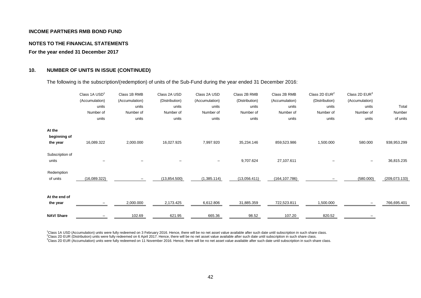#### **NOTES TO THE FINANCIAL STATEMENTS**

**For the year ended 31 December 2017**

## **10. NUMBER OF UNITS IN ISSUE (CONTINUED)**

The following is the subscription/(redemption) of units of the Sub-Fund during the year ended 31 December 2016:

|                                    | Class 1A USD <sup>1</sup><br>(Accumulation)<br>units<br>Number of<br>units | Class 1B RMB<br>(Accumulation)<br>units<br>Number of<br>units | Class 2A USD<br>(Distribution)<br>units<br>Number of<br>units | Class 2A USD<br>(Accumulation)<br>units<br>Number of<br>units | Class 2B RMB<br>(Distribution)<br>units<br>Number of<br>units | Class 2B RMB<br>(Accumulation)<br>units<br>Number of<br>units | Class 2D $EUR2$<br>(Distribution)<br>units<br>Number of<br>units | Class 2D $EUR3$<br>(Accumulation)<br>units<br>Number of<br>units | Total<br>Number<br>of units |
|------------------------------------|----------------------------------------------------------------------------|---------------------------------------------------------------|---------------------------------------------------------------|---------------------------------------------------------------|---------------------------------------------------------------|---------------------------------------------------------------|------------------------------------------------------------------|------------------------------------------------------------------|-----------------------------|
| At the<br>beginning of<br>the year | 16,089.322                                                                 | 2,000.000                                                     | 16,027.925                                                    | 7,997.920                                                     | 35,234.146                                                    | 859,523.986                                                   | 1,500.000                                                        | 580.000                                                          | 938,953.299                 |
| Subscription of<br>units           |                                                                            |                                                               |                                                               | -                                                             | 9,707.624                                                     | 27,107.611                                                    |                                                                  |                                                                  | 36,815.235                  |
| Redemption<br>of units             | (16,089.322)                                                               |                                                               | (13,854.500)                                                  | (1,385.114)                                                   | (13,056.411)                                                  | (164, 107.786)                                                |                                                                  | (580.000)                                                        | (209, 073.133)              |
| At the end of<br>the year          |                                                                            | 2,000.000                                                     | 2,173.425                                                     | 6,612.806                                                     | 31,885.359                                                    | 722,523.811                                                   | 1,500.000                                                        |                                                                  | 766,695.401                 |
| <b>NAV/Share</b>                   |                                                                            | 102.69                                                        | 621.95                                                        | 665.36                                                        | 98.52                                                         | 107.20                                                        | 820.52                                                           |                                                                  |                             |

<sup>1</sup>Class 1A USD (Accumulation) units were fully redeemed on 3 February 2016. Hence, there will be no net asset value available after such date until subscription in such share class. <sup>2</sup>Class 2D EUR (Distribution) units were fully redeemed on 6 April 2017. Hence, there will be no net asset value available after such date until subscription in such share class.

<sup>3</sup>Class 2D EUR (Accumulation) units were fully redeemed on 11 November 2016. Hence, there will be no net asset value available after such date until subscription in such share class.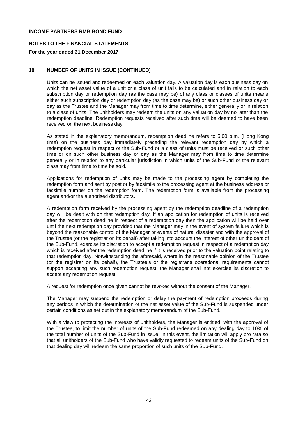## **NOTES TO THE FINANCIAL STATEMENTS**

## **For the year ended 31 December 2017**

## **10. NUMBER OF UNITS IN ISSUE (CONTINUED)**

Units can be issued and redeemed on each valuation day. A valuation day is each business day on which the net asset value of a unit or a class of unit falls to be calculated and in relation to each subscription day or redemption day (as the case may be) of any class or classes of units means either such subscription day or redemption day (as the case may be) or such other business day or day as the Trustee and the Manager may from time to time determine, either generally or in relation to a class of units. The unitholders may redeem the units on any valuation day by no later than the redemption deadline. Redemption requests received after such time will be deemed to have been received on the next business day.

As stated in the explanatory memorandum, redemption deadline refers to 5:00 p.m. (Hong Kong time) on the business day immediately preceding the relevant redemption day by which a redemption request in respect of the Sub-Fund or a class of units must be received or such other time or on such other business day or day as the Manager may from time to time determine generally or in relation to any particular jurisdiction in which units of the Sub-Fund or the relevant class may from time to time be sold.

Applications for redemption of units may be made to the processing agent by completing the redemption form and sent by post or by facsimile to the processing agent at the business address or facsimile number on the redemption form. The redemption form is available from the processing agent and/or the authorised distributors.

A redemption form received by the processing agent by the redemption deadline of a redemption day will be dealt with on that redemption day. If an application for redemption of units is received after the redemption deadline in respect of a redemption day then the application will be held over until the next redemption day provided that the Manager may in the event of system failure which is beyond the reasonable control of the Manager or events of natural disaster and with the approval of the Trustee (or the registrar on its behalf) after taking into account the interest of other unitholders of the Sub-Fund, exercise its discretion to accept a redemption request in respect of a redemption day which is received after the redemption deadline if it is received prior to the valuation point relating to that redemption day. Notwithstanding the aforesaid, where in the reasonable opinion of the Trustee (or the registrar on its behalf), the Trustee's or the registrar's operational requirements cannot support accepting any such redemption request, the Manager shall not exercise its discretion to accept any redemption request.

A request for redemption once given cannot be revoked without the consent of the Manager.

The Manager may suspend the redemption or delay the payment of redemption proceeds during any periods in which the determination of the net asset value of the Sub-Fund is suspended under certain conditions as set out in the explanatory memorandum of the Sub-Fund.

With a view to protecting the interests of unitholders, the Manager is entitled, with the approval of the Trustee, to limit the number of units of the Sub-Fund redeemed on any dealing day to 10% of the total number of units of the Sub-Fund in issue. In this event, the limitation will apply pro rata so that all unitholders of the Sub-Fund who have validly requested to redeem units of the Sub-Fund on that dealing day will redeem the same proportion of such units of the Sub-Fund.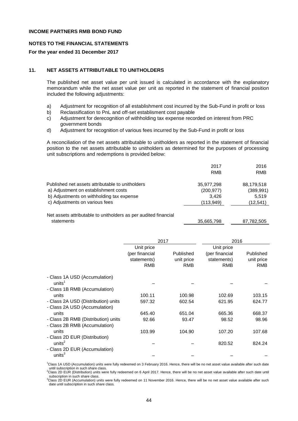#### **NOTES TO THE FINANCIAL STATEMENTS**

#### **For the year ended 31 December 2017**

## **11. NET ASSETS ATTRIBUTABLE TO UNITHOLDERS**

The published net asset value per unit issued is calculated in accordance with the explanatory memorandum while the net asset value per unit as reported in the statement of financial position included the following adjustments:

- a) Adjustment for recognition of all establishment cost incurred by the Sub-Fund in profit or loss
- b) Reclassification to PnL and off-set establisment cost payable
- c) Adjustment for derecognition of withholding tax expense recorded on interest from PRC government bonds
- d) Adjustment for recognition of various fees incurred by the Sub-Fund in profit or loss

A reconciliation of the net assets attributable to unitholders as reported in the statement of financial position to the net assets attributable to unitholders as determined for the purposes of processing unit subscriptions and redemptions is provided below:

|                                                  | 2017       | 2016       |
|--------------------------------------------------|------------|------------|
|                                                  | RMB        | <b>RMB</b> |
| Published net assets attributable to unitholders | 35,977,298 | 88,179,518 |
| a) Adjustment on establishment costs             | (200, 977) | (389, 991) |
| b) Adjustments on withholding tax expense        | 3.426      | 5.519      |
| c) Adjustments on various fees                   | (113, 949) | (12,541)   |
|                                                  |            |            |

Net assets attributable to unitholders as per audited financial statements 35,665,798 87,782,505

|            | 2017                          |                         | 2016                          |
|------------|-------------------------------|-------------------------|-------------------------------|
| Unit price |                               | Unit price              |                               |
|            |                               |                         | Published                     |
|            |                               |                         | unit price                    |
| <b>RMB</b> | RMB                           | RMB                     | <b>RMB</b>                    |
|            |                               |                         |                               |
|            |                               |                         |                               |
|            |                               |                         |                               |
| 100.11     | 100.98                        | 102.69                  | 103.15                        |
| 597.32     | 602.54                        | 621.95                  | 624.77                        |
|            |                               |                         |                               |
| 645.40     | 651.04                        | 665.36                  | 668.37                        |
| 92.66      | 93.47                         | 98.52                   | 98.96                         |
|            |                               |                         |                               |
| 103.99     | 104.90                        | 107.20                  | 107.68                        |
|            |                               |                         |                               |
|            |                               | 820.52                  | 824.24                        |
|            |                               |                         |                               |
|            |                               |                         |                               |
|            | (per financial<br>statements) | Published<br>unit price | (per financial<br>statements) |

<sup>1</sup>Class 1A USD (Accumulation) units were fully redeemed on 3 February 2016. Hence, there will be no net asset value available after such date \_until subscription in such share class.<br><sup>2</sup>Class 2D EUR (Distribution) units were fully redeemed on 6 April 2017. Hence, there will be no net asset value available after such date until

subscription in such share class.

3Class 2D EUR (Accumulation) units were fully redeemed on 11 November 2016. Hence, there will be no net asset value available after such date until subscription in such share class.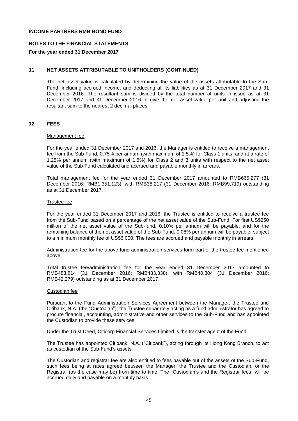#### **NOTES TO THE FINANCIAL STATEMENTS**

#### **For the year ended 31 December 2017**

#### **11. NET ASSETS ATTRIBUTABLE TO UNITHOLDERS (CONTINUED)**

The net asset value is calculated by determining the value of the assets attributable to the Sub-Fund, including accrued income, and deducting all its liabilities as at 31 December 2017 and 31 December 2016. The resultant sum is divided by the total number of units in issue as at 31 December 2017 and 31 December 2016 to give the net asset value per unit and adjusting the resultant sum to the nearest 2 decimal places.

#### **12. FEES**

#### Management fee

For the year ended 31 December 2017 and 2016, the Manager is entitled to receive a management fee from the Sub-Fund, 0.75% per annum (with maximum of 1.5%) for Class 1 units, and at a rate of 1.25% per annum (with maximum of 1.5%) for Class 2 and 3 units with respect to the net asset value of the Sub-Fund calculated and accrued and payable monthly in arrears.

Total management fee for the year ended 31 December 2017 amounted to RMB665,277 (31 December 2016: RMB1,351,123), with RMB38,217 (31 December 2016: RMB99,719) outstanding as at 31 December 2017.

#### Trustee fee

For the year ended 31 December 2017 and 2016, the Trustee is entitled to receive a trustee fee from the Sub-Fund based on a percentage of the net asset value of the Sub-Fund. For first US\$250 million of the net asset value of the Sub-fund, 0.10% per annum will be payable, and for the remaining balance of the net asset value of the Sub-Fund, 0.08% per annum will be payable, subject to a minimum monthly fee of US\$6,000. The fees are accrued and payable monthly in arrears.

Administration fee for the above fund administration services form part of the trustee fee mentioned above.

Total trustee fee/administration fee for the year ended 31 December 2017 amounted to RMB483,814 (31 December 2016: RMB483,338), with RMB40,304 (31 December 2016: RMB42,279) outstanding as at 31 December 2017.

#### Custodian fee

Pursuant to the Fund Administration Services Agreement between the Manager, the Trustee and Citibank, N.A. (the "Custodian"), the Trustee separately acting as a fund administrator has agreed to procure financial, accounting, administrative and other services to the Sub-Fund and has appointed the Custodian to provide these services.

Under the Trust Deed, Citicorp Financial Services Limited is the transfer agent of the Fund.

The Trustee has appointed Citibank, N.A. ("Citibank"), acting through its Hong Kong Branch, to act as custodian of the Sub-Fund's assets.

The Custodian and registrar fee are also entitled to fees payable out of the assets of the Sub-Fund, such fees being at rates agreed between the Manager, the Trustee and the Custodian, or the Registrar (as the case may be) from time to time. The Custodian's and the Registrar fees will be accrued daily and payable on a monthly basis.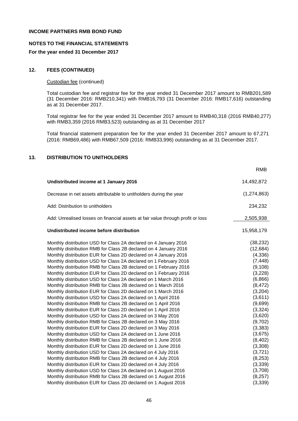#### **NOTES TO THE FINANCIAL STATEMENTS**

#### **For the year ended 31 December 2017**

## **12. FEES (CONTINUED)**

## Custodian fee (continued)

Total custodian fee and registrar fee for the year ended 31 December 2017 amount to RMB201,589 (31 December 2016: RMB210,341) with RMB16,793 (31 December 2016: RMB17,616) outstanding as at 31 December 2017.

Total registrar fee for the year ended 31 December 2017 amount to RMB40,318 (2016 RMB40,277) with RMB3,359 (2016 RMB3,523) outstanding as at 31 December 2017

Total financial statement preparation fee for the year ended 31 December 2017 amount to 67,271 (2016: RMB69,486) with RMB67,509 (2016: RMB33,996) outstanding as at 31 December 2017.

## **13. DISTRIBUTION TO UNITHOLDERS**

|                                                                                 | <b>RMB</b>    |
|---------------------------------------------------------------------------------|---------------|
| Undistributed income at 1 January 2016                                          | 14,492,872    |
| Decrease in net assets attributable to unitholders during the year              | (1, 274, 863) |
| Add: Distribution to unitholders                                                | 234,232       |
| Add: Unrealised losses on financial assets at fair value through profit or loss | 2,505,938     |
| Undistributed income before distribution                                        | 15,958,179    |
| Monthly distribution USD for Class 2A declared on 4 January 2016                | (38, 232)     |
| Monthly distribution RMB for Class 2B declared on 4 January 2016                | (12, 684)     |
| Monthly distribution EUR for Class 2D declared on 4 January 2016                | (4,336)       |
| Monthly distribution USD for Class 2A declared on 1 February 2016               | (7, 448)      |
| Monthly distribution RMB for Class 2B declared on 1 February 2016               | (9, 108)      |
| Monthly distribution EUR for Class 2D declared on 1 February 2016               | (3,228)       |
| Monthly distribution USD for Class 2A declared on 1 March 2016                  | (6,866)       |
| Monthly distribution RMB for Class 2B declared on 1 March 2016                  | (8, 472)      |
| Monthly distribution EUR for Class 2D declared on 1 March 2016                  | (3,204)       |
| Monthly distribution USD for Class 2A declared on 1 April 2016                  | (3,611)       |
| Monthly distribution RMB for Class 2B declared on 1 April 2016                  | (9,699)       |
| Monthly distribution EUR for Class 2D declared on 1 April 2016                  | (3, 324)      |
| Monthly distribution USD for Class 2A declared on 3 May 2016                    | (3,620)       |
| Monthly distribution RMB for Class 2B declared on 3 May 2016                    | (9,702)       |
| Monthly distribution EUR for Class 2D declared on 3 May 2016                    | (3, 383)      |
| Monthly distribution USD for Class 2A declared on 1 June 2016                   | (3,675)       |
| Monthly distribution RMB for Class 2B declared on 1 June 2016                   | (8, 402)      |
| Monthly distribution EUR for Class 2D declared on 1 June 2016                   | (3,308)       |
| Monthly distribution USD for Class 2A declared on 4 July 2016                   | (3,721)       |
| Monthly distribution RMB for Class 2B declared on 4 July 2016                   | (8, 253)      |
| Monthly distribution EUR for Class 2D declared on 4 July 2016                   | (3,339)       |
| Monthly distribution USD for Class 2A declared on 1 August 2016                 | (3,708)       |
| Monthly distribution RMB for Class 2B declared on 1 August 2016                 | (8,257)       |
| Monthly distribution EUR for Class 2D declared on 1 August 2016                 | (3, 339)      |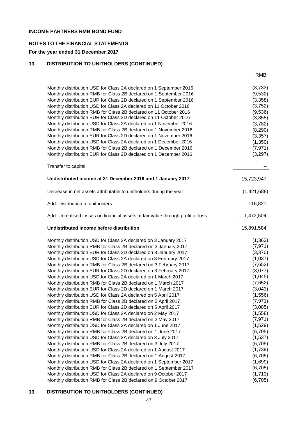## **NOTES TO THE FINANCIAL STATEMENTS**

## **For the year ended 31 December 2017**

# **13. DISTRIBUTION TO UNITHOLDERS (CONTINUED)**

|                                                                                 | RMB         |
|---------------------------------------------------------------------------------|-------------|
| Monthly distribution USD for Class 2A declared on 1 September 2016              | (3,733)     |
| Monthly distribution RMB for Class 2B declared on 1 September 2016              | (9,532)     |
| Monthly distribution EUR for Class 2D declared on 1 September 2016              | (3,358)     |
| Monthly distribution USD for Class 2A declared on 11 October 2016               | (3,752)     |
| Monthly distribution RMB for Class 2B declared on 11 October 2016               | (9,536)     |
| Monthly distribution EUR for Class 2D declared on 11 October 2016               | (3, 355)    |
| Monthly distribution USD for Class 2A declared on 1 November 2016               | (3,782)     |
| Monthly distribution RMB for Class 2B declared on 1 November 2016               | (8, 290)    |
| Monthly distribution EUR for Class 2D declared on 1 November 2016               | (3, 357)    |
| Monthly distribution USD for Class 2A declared on 1 December 2016               | (1, 350)    |
| Monthly distribution RMB for Class 2B declared on 1 December 2016               | (7, 971)    |
| Monthly distribution EUR for Class 2D declared on 1 December 2016               | (3,297)     |
| Transfer to capital                                                             |             |
| Undistributed income at 31 December 2016 and 1 January 2017                     | 15,723,947  |
| Decrease in net assets attributable to unitholders during the year              | (1,421,688) |
| Add: Distribution to unitholders                                                | 116,821     |
| Add: Unrealised losses on financial assets at fair value through profit or loss | 1,472,504   |
| Undistributed income before distribution                                        | 15,891,584  |
| Monthly distribution USD for Class 2A declared on 3 January 2017                | (1, 363)    |
| Monthly distribution RMB for Class 2B declared on 3 January 2017                | (7, 971)    |
| Monthly distribution EUR for Class 2D declared on 3 January 2017                | (3,370)     |
| Monthly distribution USD for Class 2A declared on 3 February 2017               | (1,037)     |
| Monthly distribution RMB for Class 2B declared on 3 February 2017               | (7,652)     |
| Monthly distribution EUR for Class 2D declared on 3 February 2017               | (3,077)     |
| Monthly distribution USD for Class 2A declared on 1 March 2017                  | (1,045)     |
| Monthly distribution RMB for Class 2B declared on 1 March 2017                  | (7,652)     |
| Monthly distribution EUR for Class 2D declared on 1 March 2017                  | (3,043)     |
| Monthly distribution USD for Class 2A declared on 5 April 2017                  | (1, 556)    |
| Monthly distribution RMB for Class 2B declared on 5 April 2017                  | (7, 971)    |
| Monthly distribution EUR for Class 2D declared on 5 April 2017                  | (3,085)     |
| Monthly distribution USD for Class 2A declared on 2 May 2017                    | (1,558)     |
| Monthly distribution RMB for Class 2B declared on 2 May 2017                    | (7, 971)    |
| Monthly distribution USD for Class 2A declared on 1 June 2017                   | (1,529)     |
| Monthly distribution RMB for Class 2B declared on 1 June 2017                   | (6, 705)    |
| Monthly distribution USD for Class 2A declared on 3 July 2017                   | (1,537)     |
| Monthly distribution RMB for Class 2B declared on 3 July 2017                   | (6, 705)    |
| Monthly distribution USD for Class 2A declared on 1 August 2017                 | (1,739)     |
| Monthly distribution RMB for Class 2B declared on 1 August 2017                 | (6, 705)    |
| Monthly distribution USD for Class 2A declared on 1 September 2017              | (1,699)     |
| Monthly distribution RMB for Class 2B declared on 1 September 2017              | (6, 705)    |

#### **13. DISTRIBUTION TO UNITHOLDERS (CONTINUED)**

Monthly distribution USD for Class 2A declared on 9 October 2017 (1,713) Monthly distribution RMB for Class 2B declared on 9 October 2017 (6,705)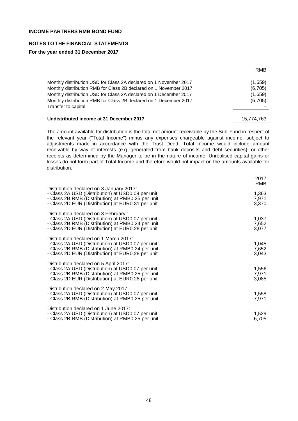# **NOTES TO THE FINANCIAL STATEMENTS**

## **For the year ended 31 December 2017**

| Monthly distribution USD for Class 2A declared on 1 November 2017 | (1,659) |
|-------------------------------------------------------------------|---------|
| Monthly distribution RMB for Class 2B declared on 1 November 2017 | (6,705) |
| Monthly distribution USD for Class 2A declared on 1 December 2017 | (1,659) |
| Monthly distribution RMB for Class 2B declared on 1 December 2017 | (6,705) |
| Transfer to capital                                               |         |
|                                                                   |         |

## Undistributed income at 31 December 2017 15,774,763

The amount available for distribution is the total net amount receivable by the Sub-Fund in respect of the relevant year ("Total Income") minus any expenses chargeable against income, subject to adjustments made in accordance with the Trust Deed. Total Income would include amount receivable by way of interests (e.g. generated from bank deposits and debt securities), or other receipts as determined by the Manager to be in the nature of income. Unrealised capital gains or losses do not form part of Total Income and therefore would not impact on the amounts available for distribution.

| Distribution declared on 3 January 2017:                                                                                                                                                              | 2017<br>RMB             |
|-------------------------------------------------------------------------------------------------------------------------------------------------------------------------------------------------------|-------------------------|
| - Class 2A USD (Distribution) at USD0.09 per unit<br>- Class 2B RMB (Distribution) at RMB0.25 per unit<br>- Class 2D EUR (Distribution) at EUR0.31 per unit                                           | 1,363<br>7,971<br>3,370 |
| Distribution declared on 3 February :<br>- Class 2A USD (Distribution) at USD0.07 per unit<br>- Class 2B RMB (Distribution) at RMB0.24 per unit<br>- Class 2D EUR (Distribution) at EUR0.28 per unit  | 1,037<br>7,652<br>3,077 |
| Distribution declared on 1 March 2017:<br>- Class 2A USD (Distribution) at USD0.07 per unit<br>- Class 2B RMB (Distribution) at RMB0.24 per unit<br>- Class 2D EUR (Distribution) at EUR0.28 per unit | 1,045<br>7,652<br>3,043 |
| Distribution declared on 5 April 2017:<br>- Class 2A USD (Distribution) at USD0.07 per unit<br>- Class 2B RMB (Distribution) at RMB0.25 per unit<br>- Class 2D EUR (Distribution) at EUR0.28 per unit | 1,556<br>7,971<br>3,085 |
| Distribution declared on 2 May 2017:<br>- Class 2A USD (Distribution) at USD0.07 per unit<br>- Class 2B RMB (Distribution) at RMB0.25 per unit                                                        | 1,558<br>7,971          |
| Distribution declared on 1 June 2017:<br>- Class 2A USD (Distribution) at USD0.07 per unit<br>- Class 2B RMB (Distribution) at RMB0.25 per unit                                                       | 1,529<br>6,705          |

RMB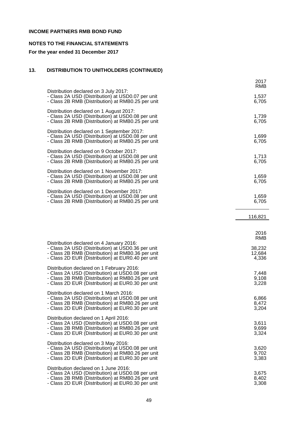# **NOTES TO THE FINANCIAL STATEMENTS**

# **For the year ended 31 December 2017**

# **13. DISTRIBUTION TO UNITHOLDERS (CONTINUED)**

|                                                                                                                                                                                                          | 2017<br>RMB               |
|----------------------------------------------------------------------------------------------------------------------------------------------------------------------------------------------------------|---------------------------|
| Distribution declared on 3 July 2017:<br>- Class 2A USD (Distribution) at USD0.07 per unit<br>- Class 2B RMB (Distribution) at RMB0.25 per unit                                                          | 1,537<br>6,705            |
| Distribution declared on 1 August 2017:<br>- Class 2A USD (Distribution) at USD0.08 per unit<br>- Class 2B RMB (Distribution) at RMB0.25 per unit                                                        | 1,739<br>6,705            |
| Distribution declared on 1 September 2017:<br>- Class 2A USD (Distribution) at USD0.08 per unit<br>- Class 2B RMB (Distribution) at RMB0.25 per unit                                                     | 1,699<br>6,705            |
| Distribution declared on 9 October 2017:<br>- Class 2A USD (Distribution) at USD0.08 per unit<br>- Class 2B RMB (Distribution) at RMB0.25 per unit                                                       | 1,713<br>6,705            |
| Distribution declared on 1 November 2017:<br>- Class 2A USD (Distribution) at USD0.08 per unit<br>- Class 2B RMB (Distribution) at RMB0.25 per unit                                                      | 1,659<br>6,705            |
| Distribution declared on 1 December 2017:<br>- Class 2A USD (Distribution) at USD0.08 per unit<br>- Class 2B RMB (Distribution) at RMB0.25 per unit                                                      | 1,659<br>6,705            |
|                                                                                                                                                                                                          | 116,821                   |
|                                                                                                                                                                                                          | 2016<br><b>RMB</b>        |
| Distribution declared on 4 January 2016:<br>- Class 2A USD (Distribution) at USD0.36 per unit<br>- Class 2B RMB (Distribution) at RMB0.36 per unit<br>- Class 2D EUR (Distribution) at EUR0.40 per unit  | 38,232<br>12,684<br>4,336 |
| Distribution declared on 1 February 2016:<br>- Class 2A USD (Distribution) at USD0.08 per unit<br>- Class 2B RMB (Distribution) at RMB0.26 per unit<br>- Class 2D EUR (Distribution) at EUR0.30 per unit | 7,448<br>9,108<br>3,228   |
| Distribution declared on 1 March 2016:<br>- Class 2A USD (Distribution) at USD0.08 per unit<br>- Class 2B RMB (Distribution) at RMB0.26 per unit<br>- Class 2D EUR (Distribution) at EUR0.30 per unit    | 6,866<br>8,472<br>3,204   |
| Distribution declared on 1 April 2016:<br>- Class 2A USD (Distribution) at USD0.08 per unit<br>- Class 2B RMB (Distribution) at RMB0.26 per unit<br>- Class 2D EUR (Distribution) at EUR0.30 per unit    | 3,611<br>9,699<br>3,324   |
| Distribution declared on 3 May 2016:<br>- Class 2A USD (Distribution) at USD0.08 per unit<br>- Class 2B RMB (Distribution) at RMB0.26 per unit<br>- Class 2D EUR (Distribution) at EUR0.30 per unit      | 3,620<br>9,702<br>3,383   |
| Distribution declared on 1 June 2016:<br>- Class 2A USD (Distribution) at USD0.08 per unit<br>- Class 2B RMB (Distribution) at RMB0.26 per unit<br>- Class 2D EUR (Distribution) at EUR0.30 per unit     | 3,675<br>8,402<br>3,308   |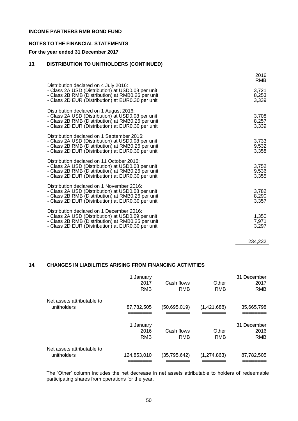## **NOTES TO THE FINANCIAL STATEMENTS**

## **For the year ended 31 December 2017**

## **13. DISTRIBUTION TO UNITHOLDERS (CONTINUED)**

| Distribution declared on 4 July 2016:                                                                                                                                                                     | 2016<br><b>RMB</b>      |
|-----------------------------------------------------------------------------------------------------------------------------------------------------------------------------------------------------------|-------------------------|
| - Class 2A USD (Distribution) at USD0.08 per unit<br>- Class 2B RMB (Distribution) at RMB0.26 per unit<br>- Class 2D EUR (Distribution) at EUR0.30 per unit                                               | 3,721<br>8,253<br>3,339 |
| Distribution declared on 1 August 2016:<br>- Class 2A USD (Distribution) at USD0.08 per unit<br>- Class 2B RMB (Distribution) at RMB0.26 per unit<br>- Class 2D EUR (Distribution) at EUR0.30 per unit    | 3,708<br>8,257<br>3,339 |
| Distribution declared on 1 September 2016:<br>- Class 2A USD (Distribution) at USD0.08 per unit<br>- Class 2B RMB (Distribution) at RMB0.26 per unit<br>- Class 2D EUR (Distribution) at EUR0.30 per unit | 3,733<br>9,532<br>3,358 |
| Distribution declared on 11 October 2016:<br>- Class 2A USD (Distribution) at USD0.08 per unit<br>- Class 2B RMB (Distribution) at RMB0.26 per unit<br>- Class 2D EUR (Distribution) at EUR0.30 per unit  | 3,752<br>9,536<br>3,355 |
| Distribution declared on 1 November 2016:<br>- Class 2A USD (Distribution) at USD0.08 per unit<br>- Class 2B RMB (Distribution) at RMB0.26 per unit<br>- Class 2D EUR (Distribution) at EUR0.30 per unit  | 3,782<br>8,290<br>3,357 |
| Distribution declared on 1 December 2016:<br>- Class 2A USD (Distribution) at USD0.09 per unit<br>- Class 2B RMB (Distribution) at RMB0.25 per unit<br>- Class 2D EUR (Distribution) at EUR0.30 per unit  | 1,350<br>7,971<br>3,297 |
|                                                                                                                                                                                                           | 234,232                 |

# **14. CHANGES IN LIABILITIES ARISING FROM FINANCING ACTIVITIES**

|                                           | 1 January<br>2017<br>RMB | Cash flows<br>RMB | Other<br><b>RMB</b> | 31 December<br>2017<br><b>RMB</b> |
|-------------------------------------------|--------------------------|-------------------|---------------------|-----------------------------------|
| Net assets attributable to<br>unitholders | 87,782,505               | (50,695,019)      | (1,421,688)         | 35,665,798                        |
|                                           | 1 January<br>2016<br>RMB | Cash flows<br>RMB | Other<br>RMB        | 31 December<br>2016<br><b>RMB</b> |
| Net assets attributable to<br>unitholders | 124,853,010              | (35, 795, 642)    | (1,274,863)         | 87,782,505                        |

The 'Other' column includes the net decrease in net assets attributable to holders of redeemable participating shares from operations for the year.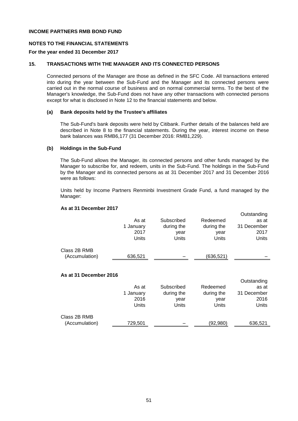## **NOTES TO THE FINANCIAL STATEMENTS**

#### **For the year ended 31 December 2017**

## **15. TRANSACTIONS WITH THE MANAGER AND ITS CONNECTED PERSONS**

Connected persons of the Manager are those as defined in the SFC Code. All transactions entered into during the year between the Sub-Fund and the Manager and its connected persons were carried out in the normal course of business and on normal commercial terms. To the best of the Manager's knowledge, the Sub-Fund does not have any other transactions with connected persons except for what is disclosed in Note 12 to the financial statements and below.

## **(a) Bank deposits held by the Trustee's affiliates**

The Sub-Fund's bank deposits were held by Citibank. Further details of the balances held are described in Note 8 to the financial statements. During the year, interest income on these bank balances was RMB6,177 (31 December 2016: RMB1,229).

#### **(b) Holdings in the Sub-Fund**

The Sub-Fund allows the Manager, its connected persons and other funds managed by the Manager to subscribe for, and redeem, units in the Sub-Fund. The holdings in the Sub-Fund by the Manager and its connected persons as at 31 December 2017 and 31 December 2016 were as follows:

Units held by Income Partners Renminbi Investment Grade Fund, a fund managed by the Manager:

#### **As at 31 December 2017**

|                                | As at<br>1 January<br>2017<br>Units | Subscribed<br>during the<br>year<br>Units | Redeemed<br>during the<br>year<br>Units | Outstanding<br>as at<br>31 December<br>2017<br>Units |
|--------------------------------|-------------------------------------|-------------------------------------------|-----------------------------------------|------------------------------------------------------|
| Class 2B RMB<br>(Accumulation) | 636,521                             |                                           | (636, 521)                              |                                                      |

#### **As at 31 December 2016**

|                |           |            |            | Outstanding |
|----------------|-----------|------------|------------|-------------|
|                | As at     | Subscribed | Redeemed   | as at       |
|                | 1 January | during the | during the | 31 December |
|                | 2016      | year       | year       | 2016        |
|                | Units     | Units      | Units      | Units       |
| Class 2B RMB   |           |            |            |             |
| (Accumulation) | 729,501   |            | (92,980)   | 636,521     |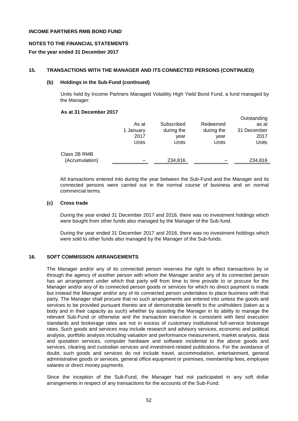## **NOTES TO THE FINANCIAL STATEMENTS**

## **For the year ended 31 December 2017**

## **15. TRANSACTIONS WITH THE MANAGER AND ITS CONNECTED PERSONS (CONTINUED)**

## **(b) Holdings in the Sub-Fund (continued)**

Units held by Income Partners Managed Volatility High Yield Bond Fund, a fund managed by the Manager:

## **As at 31 December 2017**

|                                | As at<br>1 January<br>2017<br>Units | Subscribed<br>during the<br>year<br>Units | Redeemed<br>during the<br>year<br>Units | Outstanding<br>as at<br>31 December<br>2017<br>Units |
|--------------------------------|-------------------------------------|-------------------------------------------|-----------------------------------------|------------------------------------------------------|
| Class 2B RMB<br>(Accumulation) |                                     | 234,816                                   |                                         | 234,816                                              |

All transactions entered into during the year between the Sub-Fund and the Manager and its connected persons were carried out in the normal course of business and on normal commercial terms.

## **(c) Cross trade**

During the year ended 31 December 2017 and 2016, there was no investment holdings which were bought from other funds also managed by the Manager of the Sub-fund.

During the year ended 31 December 2017 and 2016, there was no investment holdings which were sold to other funds also managed by the Manager of the Sub-funds.

## **16. SOFT COMMISSION ARRANGEMENTS**

The Manager and/or any of its connected person reserves the right to effect transactions by or through the agency of another person with whom the Manager and/or any of its connected person has an arrangement under which that party will from time to time provide to or procure for the Manager and/or any of its connected person goods or services for which no direct payment is made but instead the Manager and/or any of its connected person undertakes to place business with that party. The Manager shall procure that no such arrangements are entered into unless the goods and services to be provided pursuant thereto are of demonstrable benefit to the unitholders (taken as a body and in their capacity as such) whether by assisting the Manager in its ability to manage the relevant Sub-Fund or otherwise and the transaction execution is consistent with best execution standards and brokerage rates are not in excess of customary institutional full-service brokerage rates. Such goods and services may include research and advisory services, economic and political analysis, portfolio analysis including valuation and performance measurement, market analysis, data and quotation services, computer hardware and software incidental to the above goods and services, clearing and custodian services and investment-related publications. For the avoidance of doubt, such goods and services do not include travel, accommodation, entertainment, general administrative goods or services, general office equipment or premises, membership fees, employee salaries or direct money payments.

Since the inception of the Sub-Fund, the Manager had not participated in any soft dollar arrangements in respect of any transactions for the accounts of the Sub-Fund.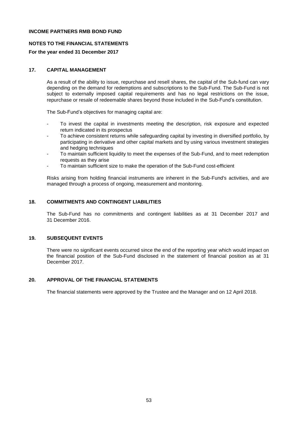## **NOTES TO THE FINANCIAL STATEMENTS**

## **For the year ended 31 December 2017**

# **17. CAPITAL MANAGEMENT**

As a result of the ability to issue, repurchase and resell shares, the capital of the Sub-fund can vary depending on the demand for redemptions and subscriptions to the Sub-Fund. The Sub-Fund is not subject to externally imposed capital requirements and has no legal restrictions on the issue, repurchase or resale of redeemable shares beyond those included in the Sub-Fund's constitution.

The Sub-Fund's objectives for managing capital are:

- To invest the capital in investments meeting the description, risk exposure and expected return indicated in its prospectus
- To achieve consistent returns while safeguarding capital by investing in diversified portfolio, by participating in derivative and other capital markets and by using various investment strategies and hedging techniques
- To maintain sufficient liquidity to meet the expenses of the Sub-Fund, and to meet redemption requests as they arise
- To maintain sufficient size to make the operation of the Sub-Fund cost-efficient

Risks arising from holding financial instruments are inherent in the Sub-Fund's activities, and are managed through a process of ongoing, measurement and monitoring.

## **18. COMMITMENTS AND CONTINGENT LIABILITIES**

The Sub-Fund has no commitments and contingent liabilities as at 31 December 2017 and 31 December 2016.

#### **19. SUBSEQUENT EVENTS**

There were no significant events occurred since the end of the reporting year which would impact on the financial position of the Sub-Fund disclosed in the statement of financial position as at 31 December 2017.

## **20. APPROVAL OF THE FINANCIAL STATEMENTS**

The financial statements were approved by the Trustee and the Manager and on 12 April 2018.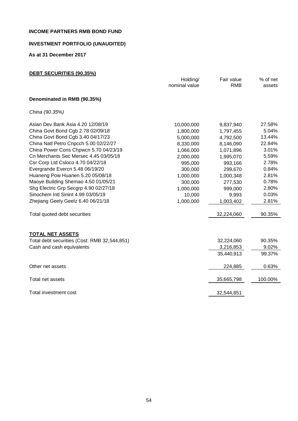# **INVESTMENT PORTFOLIO (UNAUDITED)**

**As at 31 December 2017**

| DEBT SECURITIES (90.35%)                     |               |            |          |
|----------------------------------------------|---------------|------------|----------|
|                                              | Holding/      | Fair value | % of net |
|                                              | nominal value | <b>RMB</b> | assets   |
| Denominated in RMB (90.35%)                  |               |            |          |
| China (90.35%)                               |               |            |          |
| Asian Dev Bank Asia 4.20 12/08/19            | 10,000,000    | 9,837,940  | 27.58%   |
| China Govt Bond Cgb 2.78 02/09/18            | 1,800,000     | 1,797,455  | 5.04%    |
| China Govt Bond Cgb 3.40 04/17/23            | 5,000,000     | 4,792,500  | 13.44%   |
| China Natl Petro Cnpcch 5.00 02/22/27        | 8,330,000     | 8,146,090  | 22.84%   |
| China Power Cons Chpwcn 5.70 04/23/19        | 1,066,000     | 1,071,896  | 3.01%    |
| Cn Merchants Sec Mersec 4.45 03/05/18        | 2,000,000     | 1,995,070  | 5.59%    |
| Csr Corp Ltd Csloco 4.70 04/22/18            | 995,000       | 993,166    | 2.78%    |
| Evergrande Evercn 5.48 06/19/20              | 300,000       | 299,670    | 0.84%    |
| Huaneng Pow Huanen 5.20 05/08/18             | 1,000,000     | 1,000,348  | 2.81%    |
| Maoye Building Shemao 4.50 01/05/21          | 300,000       | 277,530    | 0.78%    |
| Shg Electric Grp Secgrp 4.90 02/27/18        | 1,000,000     | 999,000    | 2.80%    |
| Sinochem Intl Sinint 4.99 03/05/19           | 10,000        | 9,993      | 0.03%    |
| Zhejiang Geely Geelz 6.40 06/21/18           | 1,000,000     | 1,003,402  | 2.81%    |
| Total quoted debt securities                 |               | 32,224,060 | 90.35%   |
| <b>TOTAL NET ASSETS</b>                      |               |            |          |
| Total debt securities (Cost: RMB 32,544,851) |               | 32,224,060 | 90.35%   |
| Cash and cash equivalents                    |               | 3,216,853  | 9.02%    |
|                                              |               | 35,440,913 | 99.37%   |
| Other net assets                             |               | 224,885    | 0.63%    |
| Total net assets                             |               | 35,665,798 | 100.00%  |
| Total investment cost                        |               | 32,544,851 |          |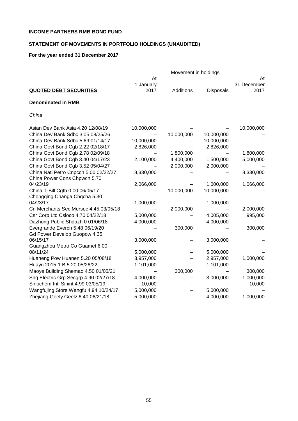# **STATEMENT OF MOVEMENTS IN PORTFOLIO HOLDINGS (UNAUDITED)**

# **For the year ended 31 December 2017**

|                                          |                 | Movement in holdings |            |                   |
|------------------------------------------|-----------------|----------------------|------------|-------------------|
|                                          | At<br>1 January |                      |            | At<br>31 December |
| <b>QUOTED DEBT SECURITIES</b>            | 2017            | Additions            | Disposals  | 2017              |
| <b>Denominated in RMB</b>                |                 |                      |            |                   |
| China                                    |                 |                      |            |                   |
| Asian Dev Bank Asia 4.20 12/08/19        | 10,000,000      |                      |            | 10,000,000        |
| China Dev Bank Sdbc 3.05 08/25/26        |                 | 10,000,000           | 10,000,000 |                   |
| China Dev Bank Sdbc 5.69 01/14/17        | 10,000,000      |                      | 10,000,000 |                   |
| China Govt Bond Cgb 2.22 02/18/17        | 2,826,000       |                      | 2,826,000  |                   |
| China Govt Bond Cgb 2.78 02/09/18        |                 | 1,800,000            |            | 1,800,000         |
| China Govt Bond Cgb 3.40 04/17/23        | 2,100,000       | 4,400,000            | 1,500,000  | 5,000,000         |
| China Govt Bond Cgb 3.52 05/04/27        |                 | 2,000,000            | 2,000,000  |                   |
| China Natl Petro Cnpcch 5.00 02/22/27    | 8,330,000       |                      |            | 8,330,000         |
| China Power Cons Chpwcn 5.70             |                 |                      |            |                   |
| 04/23/19                                 | 2,066,000       |                      | 1,000,000  | 1,066,000         |
| China T-Bill Cgtb 0.00 06/05/17          |                 | 10,000,000           | 10,000,000 |                   |
| Chongqing Changa Chqcha 5.30             |                 |                      |            |                   |
| 04/23/17                                 | 1,000,000       |                      | 1,000,000  |                   |
| Cn Merchants Sec Mersec 4.45 03/05/18    |                 | 2,000,000            |            | 2,000,000         |
| Csr Corp Ltd Csloco 4.70 04/22/18        | 5,000,000       |                      | 4,005,000  | 995,000           |
| Dazhong Public Shdazh 0 01/06/18         | 4,000,000       |                      | 4,000,000  |                   |
| Evergrande Evercn 5.48 06/19/20          |                 | 300,000              |            | 300,000           |
| Gd Power Develop Guopow 4.35<br>06/15/17 | 3,000,000       |                      | 3,000,000  |                   |
| Guangzhou Metro Co Guamet 6.00           |                 |                      |            |                   |
| 08/11/24                                 | 5,000,000       |                      | 5,000,000  |                   |
| Huaneng Pow Huanen 5.20 05/08/18         | 3,957,000       |                      | 2,957,000  | 1,000,000         |
| Huayu 2015-1 B 5.20 05/26/22             | 1,101,000       |                      | 1,101,000  |                   |
| Maoye Building Shemao 4.50 01/05/21      |                 | 300,000              |            | 300,000           |
| Shg Electric Grp Secgrp 4.90 02/27/18    | 4,000,000       |                      | 3,000,000  | 1,000,000         |
| Sinochem Intl Sinint 4.99 03/05/19       | 10,000          |                      |            | 10,000            |
| Wangfujing Store Wangfu 4.94 10/24/17    | 5,000,000       |                      | 5,000,000  |                   |
| Zhejiang Geely Geelz 6.40 06/21/18       | 5,000,000       |                      | 4,000,000  | 1,000,000         |
|                                          |                 |                      |            |                   |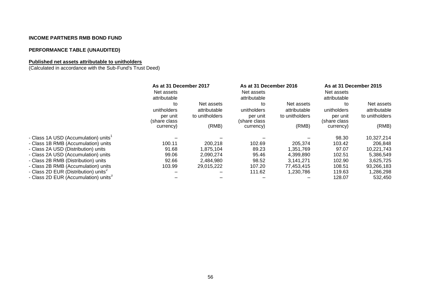# **PERFORMANCE TABLE (UNAUDITED)**

# **Published net assets attributable to unitholders**

(Calculated in accordance with the Sub-Fund's Trust Deed)

|                                                  | As at 31 December 2017<br>Net assets<br>attributable |                | As at 31 December 2016<br>Net assets<br>attributable |                | As at 31 December 2015<br>Net assets<br>attributable |                |
|--------------------------------------------------|------------------------------------------------------|----------------|------------------------------------------------------|----------------|------------------------------------------------------|----------------|
|                                                  | to                                                   | Net assets     | to                                                   | Net assets     | to                                                   | Net assets     |
|                                                  | unitholders                                          | attributable   | unitholders                                          | attributable   | unitholders                                          | attributable   |
|                                                  | per unit<br>(share class)                            | to unitholders | per unit<br>(share class                             | to unitholders | per unit<br>(share class                             | to unitholders |
|                                                  | currency)                                            | (RMB)          | currency)                                            | (RMB)          | currency)                                            | (RMB)          |
| - Class 1A USD (Accumulation) units <sup>1</sup> |                                                      |                |                                                      |                | 98.30                                                | 10,327,214     |
| - Class 1B RMB (Accumulation) units              | 100.11                                               | 200,218        | 102.69                                               | 205,374        | 103.42                                               | 206,848        |
| - Class 2A USD (Distribution) units              | 91.68                                                | 1,875,104      | 89.23                                                | 1,351,769      | 97.07                                                | 10,221,743     |
| - Class 2A USD (Accumulation) units              | 99.06                                                | 2,090,274      | 95.46                                                | 4.399.890      | 102.51                                               | 5,386,549      |
| - Class 2B RMB (Distribution) units              | 92.66                                                | 2,484,980      | 98.52                                                | 3,141,271      | 102.90                                               | 3,625,725      |
| - Class 2B RMB (Accumulation) units              | 103.99                                               | 29,015,222     | 107.20                                               | 77,453,415     | 108.51                                               | 93,266,183     |
| - Class 2D EUR (Distribution) units <sup>2</sup> |                                                      |                | 111.62                                               | 1,230,786      | 119.63                                               | ,286,298       |
| - Class 2D EUR (Accumulation) units <sup>3</sup> |                                                      |                |                                                      |                | 128.07                                               | 532,450        |
|                                                  |                                                      |                |                                                      |                |                                                      |                |